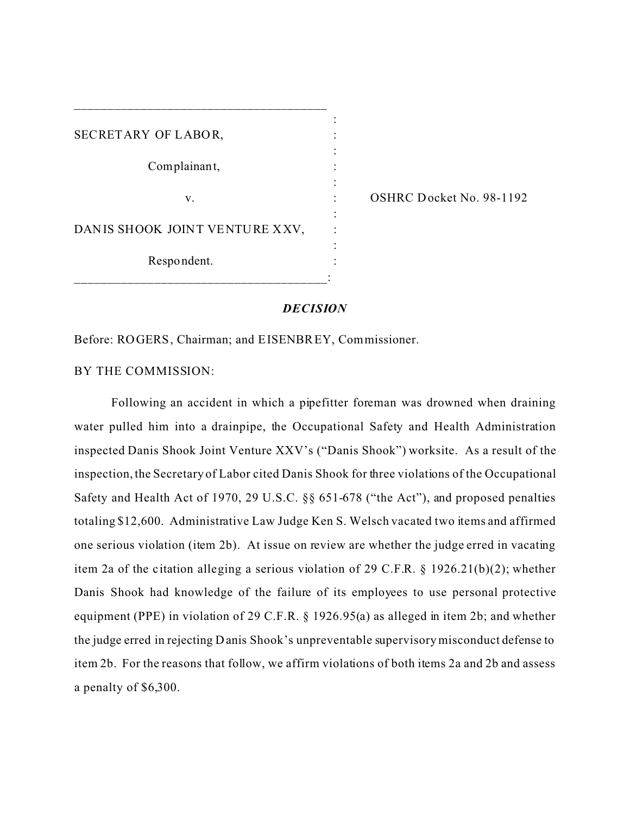| SECRETARY OF LABOR,            |  |
|--------------------------------|--|
|                                |  |
| Complainant,                   |  |
|                                |  |
| v.                             |  |
|                                |  |
| DANIS SHOOK JOINT VENTURE XXV, |  |
|                                |  |
| Respondent.                    |  |
|                                |  |

\_\_\_\_\_\_\_\_\_\_\_\_\_\_\_\_\_\_\_\_\_\_\_\_\_\_\_\_\_\_\_\_\_\_\_\_\_\_

OSHRC Docket No. 98-1192

## *DECISION*

Before: ROGERS, Chairman; and EISENBREY, Commissioner.

BY THE COMMISSION:

Following an accident in which a pipefitter foreman was drowned when draining water pulled him into a drainpipe, the Occupational Safety and Health Administration inspected Danis Shook Joint Venture XXV's ("Danis Shook") worksite. As a result of the inspection, the Secretary of Labor cited Danis Shook for three violations of the Occupational Safety and Health Act of 1970, 29 U.S.C. §§ 651-678 ("the Act"), and proposed penalties totaling \$12,600. Administrative Law Judge Ken S. Welsch vacated two items and affirmed one serious violation (item 2b). At issue on review are whether the judge erred in vacating item 2a of the citation alleging a serious violation of 29 C.F.R.  $\S$  1926.21(b)(2); whether Danis Shook had knowledge of the failure of its employees to use personal protective equipment (PPE) in violation of 29 C.F.R. § 1926.95(a) as alleged in item 2b; and whether the judge erred in rejecting Danis Shook's unpreventable supervisory misconduct defense to item 2b. For the reasons that follow, we affirm violations of both items 2a and 2b and assess a penalty of \$6,300.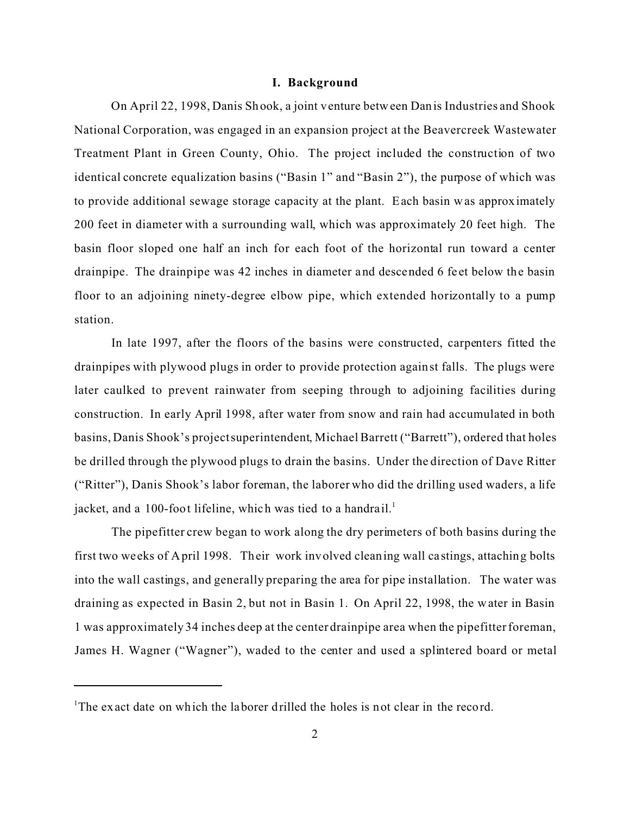## **I. Background**

On April 22, 1998, Danis Shook, a joint venture between Danis Industries and Shook National Corporation, was engaged in an expansion project at the Beavercreek Wastewater Treatment Plant in Green County, Ohio. The project included the construction of two identical concrete equalization basins ("Basin 1" and "Basin 2"), the purpose of which was to provide additional sewage storage capacity at the plant. Each basin was approximately 200 feet in diameter with a surrounding wall, which was approximately 20 feet high. The basin floor sloped one half an inch for each foot of the horizontal run toward a center drainpipe. The drainpipe was 42 inches in diameter and descended 6 feet below the basin floor to an adjoining ninety-degree elbow pipe, which extended horizontally to a pump station.

In late 1997, after the floors of the basins were constructed, carpenters fitted the drainpipes with plywood plugs in order to provide protection against falls. The plugs were later caulked to prevent rainwater from seeping through to adjoining facilities during construction. In early April 1998, after water from snow and rain had accumulated in both basins, Danis Shook's project superintendent, Michael Barrett ("Barrett"), ordered that holes be drilled through the plywood plugs to drain the basins. Under the direction of Dave Ritter ("Ritter"), Danis Shook's labor foreman, the laborer who did the drilling used waders, a life jacket, and a 100-foot lifeline, which was tied to a handrail.<sup>1</sup>

The pipefitter crew began to work along the dry perimeters of both basins during the first two we eks of April 1998. Their work involved cleaning wall ca stings, attaching bolts into the wall castings, and generally preparing the area for pipe installation. The water was draining as expected in Basin 2, but not in Basin 1. On April 22, 1998, the w ater in Basin 1 was approximately 34 inches deep at the center drainpipe area when the pipefitter foreman, James H. Wagner ("Wagner"), waded to the center and used a splintered board or metal

<sup>&</sup>lt;sup>1</sup>The exact date on which the laborer drilled the holes is not clear in the record.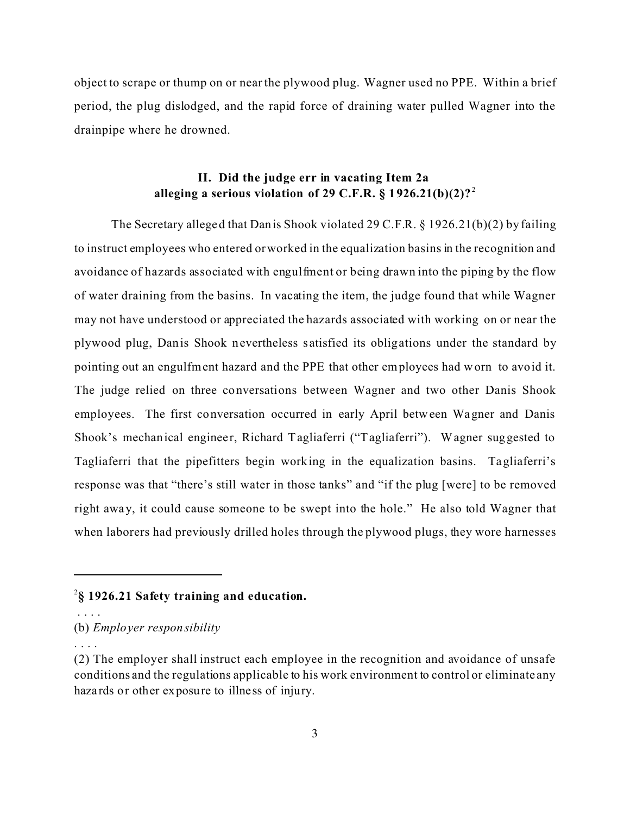object to scrape or thump on or near the plywood plug. Wagner used no PPE. Within a brief period, the plug dislodged, and the rapid force of draining water pulled Wagner into the drainpipe where he drowned.

# **II. Did the judge err in vacating Item 2a alleging a serious violation of 29 C.F.R. § 1926.21(b)(2)?** <sup>2</sup>

The Secretary alleged that Danis Shook violated 29 C.F.R. § 1926.21(b)(2) by failing to instruct employees who entered or worked in the equalization basins in the recognition and avoidance of hazards associated with engulfment or being drawn into the piping by the flow of water draining from the basins. In vacating the item, the judge found that while Wagner may not have understood or appreciated the hazards associated with working on or near the plywood plug, Danis Shook nevertheless s atisfied its obligations under the standard by pointing out an engulfment hazard and the PPE that other employees had worn to avoid it. The judge relied on three conversations between Wagner and two other Danis Shook employees. The first conversation occurred in early April between Wagner and Danis Shook's mechanical engineer, Richard Tagliaferri ("Tagliaferri"). Wagner suggested to Tagliaferri that the pipefitters begin working in the equalization basins. Tagliaferri's response was that "there's still water in those tanks" and "if the plug [were] to be removed right away, it could cause someone to be swept into the hole." He also told Wagner that when laborers had previously drilled holes through the plywood plugs, they wore harnesses

. . . .

. . . .

<sup>2</sup> **§ 1926.21 Safety training and education.** 

<sup>(</sup>b) *Employer responsibility* 

<sup>(2)</sup> The employer shall instruct each employee in the recognition and avoidance of unsafe conditions and the regulations applicable to his work environment to control or eliminate any haza rds or other exposure to illness of injury.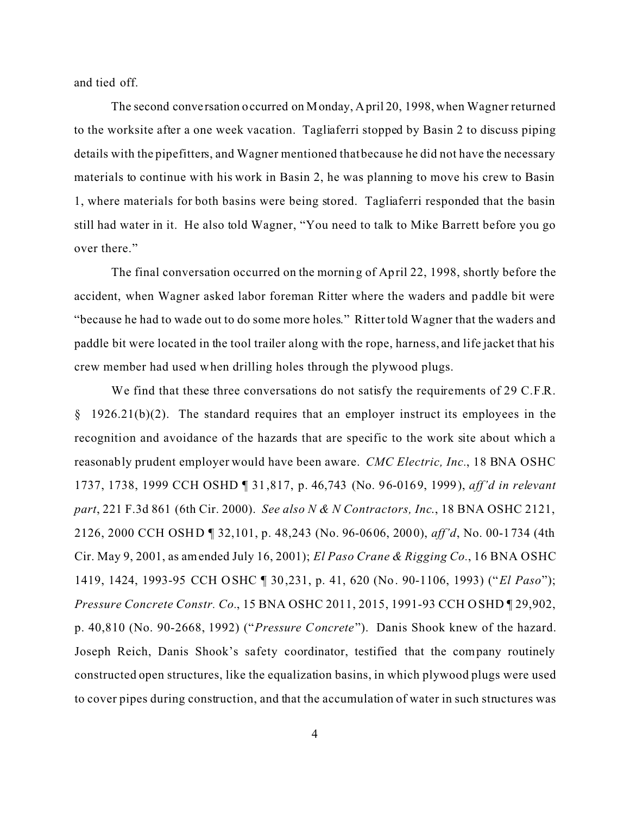and tied off.

The second conve rsation occurred on Monday, April 20, 1998, when Wagner returned to the worksite after a one week vacation. Tagliaferri stopped by Basin 2 to discuss piping details with the pipefitters, and Wagner mentioned that because he did not have the necessary materials to continue with his work in Basin 2, he was planning to move his crew to Basin 1, where materials for both basins were being stored. Tagliaferri responded that the basin still had water in it. He also told Wagner, "You need to talk to Mike Barrett before you go over there."

The final conversation occurred on the morning of April 22, 1998, shortly before the accident, when Wagner asked labor foreman Ritter where the waders and paddle bit were "because he had to wade out to do some more holes." Ritter told Wagner that the waders and paddle bit were located in the tool trailer along with the rope, harness, and life jacket that his crew member had used when drilling holes through the plywood plugs.

We find that these three conversations do not satisfy the requirements of 29 C.F.R. § 1926.21(b)(2). The standard requires that an employer instruct its employees in the recognition and avoidance of the hazards that are specific to the work site about which a reasonably prudent employer would have been aware. *CMC Electric, Inc.*, 18 BNA OSHC 1737, 1738, 1999 CCH OSHD ¶ 31,817, p. 46,743 (No. 96-0169, 1999), *aff'd in relevant part*, 221 F.3d 861 (6th Cir. 2000). *See also N & N Contractors, Inc*., 18 BNA OSHC 2121, 2126, 2000 CCH OSHD ¶ 32,101, p. 48,243 (No. 96-0606, 2000), *aff'd*, No. 00-1734 (4th Cir. May 9, 2001, as amended July 16, 2001); *El Paso Crane & Rigging Co.*, 16 BNA OSHC 1419, 1424, 1993-95 CCH OSHC ¶ 30,231, p. 41, 620 (No. 90-1106, 1993) (" *El Paso*"); *Pressure Concrete Constr. Co.*, 15 BNA OSHC 2011, 2015, 1991-93 CCH O SHD ¶ 29,902, p. 40,810 (No. 90-2668, 1992) ("*Pressure Concrete*"). Danis Shook knew of the hazard. Joseph Reich, Danis Shook's safety coordinator, testified that the company routinely constructed open structures, like the equalization basins, in which plywood plugs were used to cover pipes during construction, and that the accumulation of water in such structures was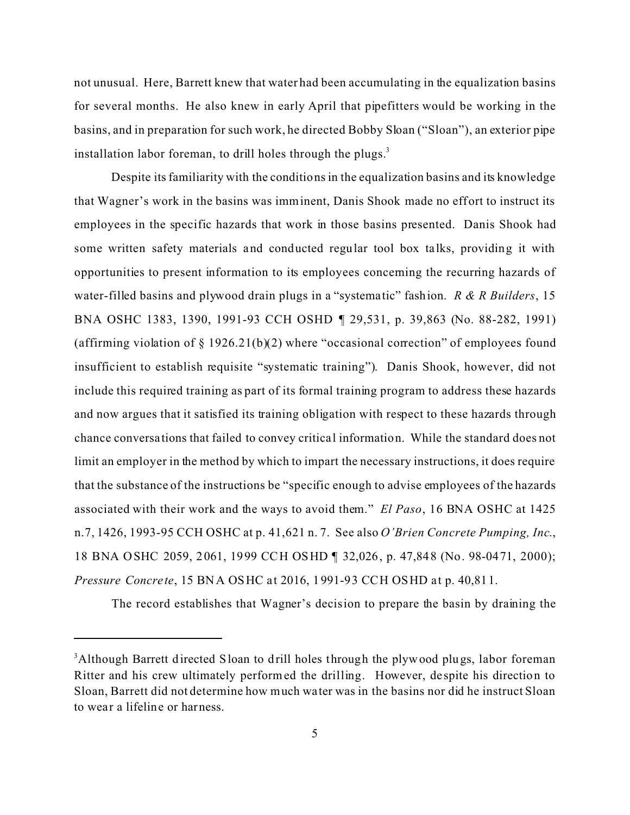not unusual. Here, Barrett knew that water had been accumulating in the equalization basins for several months. He also knew in early April that pipefitters would be working in the basins, and in preparation for such work, he directed Bobby Sloan ("Sloan"), an exterior pipe installation labor foreman, to drill holes through the plugs. $3$ 

Despite its familiarity with the conditions in the equalization basins and its knowledge that Wagner's work in the basins was imminent, Danis Shook made no effort to instruct its employees in the specific hazards that work in those basins presented. Danis Shook had some written safety materials and conducted regular tool box ta lks, providing it with opportunities to present information to its employees concerning the recurring hazards of water-filled basins and plywood drain plugs in a "systema tic" fashion. *R & R Builders*, 15 BNA OSHC 1383, 1390, 1991-93 CCH OSHD ¶ 29,531, p. 39,863 (No. 88-282, 1991) (affirming violation of  $\S 1926.21(b)(2)$  where "occasional correction" of employees found insufficient to establish requisite "systematic training"). Danis Shook, however, did not include this required training as part of its formal training program to address these hazards and now argues that it satisfied its training obligation with respect to these hazards through chance conversa tions that failed to convey critica l information. While the standard does not limit an employer in the method by which to impart the necessary instructions, it does require that the substance of the instructions be "specific enough to advise employees of the hazards associated with their work and the ways to avoid them." *El Paso*, 16 BNA OSHC at 1425 n.7, 1426, 1993-95 CCH OSHC at p. 41,621 n. 7. See also *O'Brien Concrete Pumping, Inc*., 18 BNA OSHC 2059, 2061, 1999 CCH OSHD ¶ 32,026, p. 47,848 (No. 98-0471, 2000); *Pressure Concrete*, 15 BNA OSHC at 2016, 1991-93 CCH OSHD at p. 40,811.

The record establishes that Wagner's decision to prepare the basin by draining the

<sup>&</sup>lt;sup>3</sup>Although Barrett directed Sloan to drill holes through the plywood plugs, labor foreman Ritter and his crew ultimately performed the drilling. However, de spite his direction to Sloan, Barrett did not determine how much water was in the basins nor did he instruct Sloan to wear a lifeline or harness.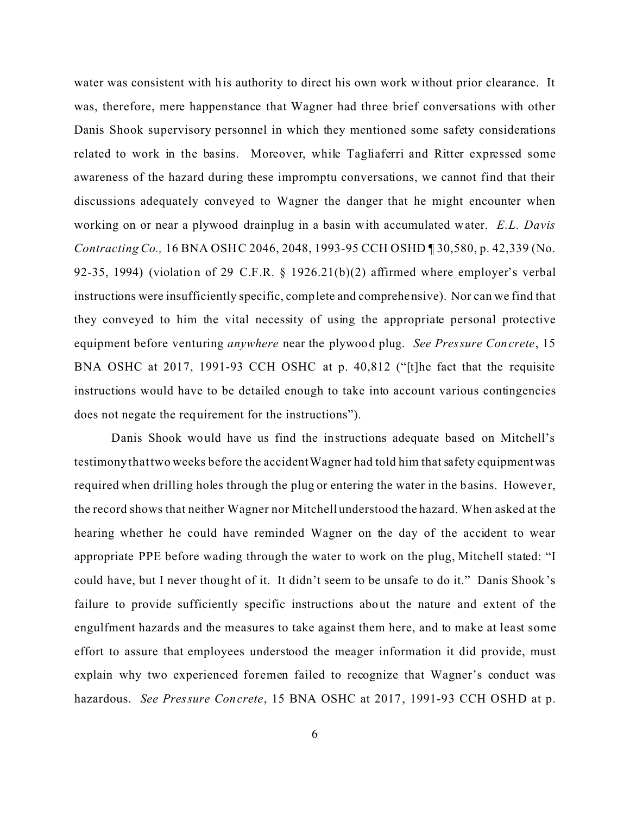water was consistent with his authority to direct his own work without prior clearance. It was, therefore, mere happenstance that Wagner had three brief conversations with other Danis Shook supervisory personnel in which they mentioned some safety considerations related to work in the basins. Moreover, while Tagliaferri and Ritter expressed some awareness of the hazard during these impromptu conversations, we cannot find that their discussions adequately conveyed to Wagner the danger that he might encounter when working on or near a plywood drainplug in a basin with accumulated water. *E.L. Davis Contracting Co.,* 16 BNA OSHC 2046, 2048, 1993-95 CCH OSHD ¶ 30,580, p. 42,339 (No. 92-35, 1994) (violation of 29 C.F.R. § 1926.21(b)(2) affirmed where employer's verbal instructions were insufficiently specific, complete and comprehensive). Nor can we find that they conveyed to him the vital necessity of using the appropriate personal protective equipment before venturing *anywhere* near the plywood plug. *See Pressure Concrete*, 15 BNA OSHC at 2017, 1991-93 CCH OSHC at p. 40,812 ("[t]he fact that the requisite instructions would have to be detailed enough to take into account various contingencies does not negate the requirement for the instructions").

Danis Shook would have us find the instructions adequate based on Mitchell's testimony that two weeks before the accident Wagner had told him that safety equipment was required when drilling holes through the plug or entering the water in the basins. However, the record shows that neither Wagner nor Mitchell understood the hazard. When asked at the hearing whether he could have reminded Wagner on the day of the accident to wear appropriate PPE before wading through the water to work on the plug, Mitchell stated: "I could have, but I never thought of it. It didn't seem to be unsafe to do it." Danis Shook's failure to provide sufficiently specific instructions about the nature and extent of the engulfment hazards and the measures to take against them here, and to make at least some effort to assure that employees understood the meager information it did provide, must explain why two experienced foremen failed to recognize that Wagner's conduct was hazardous. *See Pressure Concrete*, 15 BNA OSHC at 2017, 1991-93 CCH OSHD at p.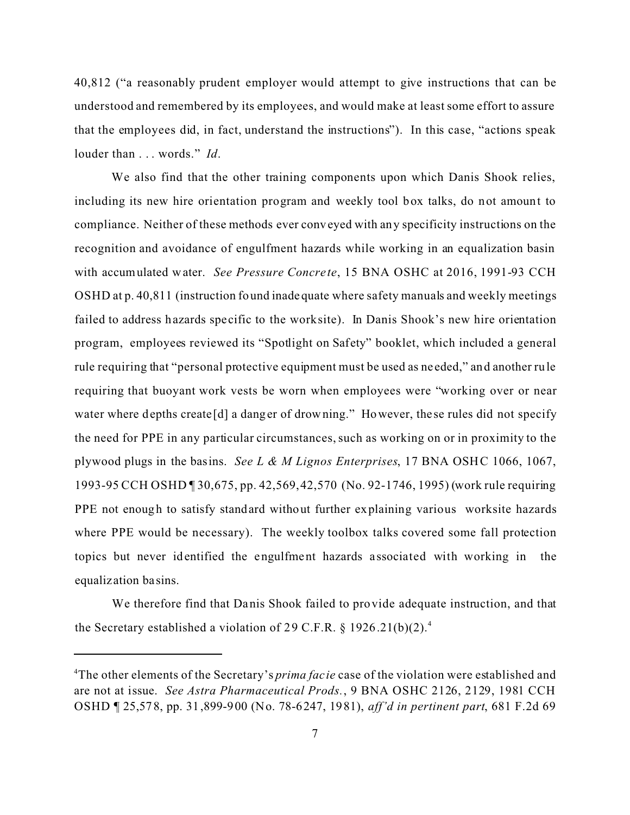40,812 ("a reasonably prudent employer would attempt to give instructions that can be understood and remembered by its employees, and would make at least some effort to assure that the employees did, in fact, understand the instructions"). In this case, "actions speak louder than . . . words." *Id*.

We also find that the other training components upon which Danis Shook relies, including its new hire orientation program and weekly tool box talks, do not amount to compliance. Neither of these methods ever conveyed with any specificity instructions on the recognition and avoidance of engulfment hazards while working in an equalization basin with accumulated water. *See Pressure Concrete*, 15 BNA OSHC at 2016, 1991-93 CCH OSHD at p. 40,811 (instruction found inadequate where safety manuals and weekly meetings failed to address hazards specific to the worksite). In Danis Shook's new hire orientation program, employees reviewed its "Spotlight on Safety" booklet, which included a general rule requiring that "personal protective equipment must be used as ne eded," and another rule requiring that buoyant work vests be worn when employees were "working over or near water where depths create [d] a danger of drowning." However, the se rules did not specify the need for PPE in any particular circumstances, such as working on or in proximity to the plywood plugs in the basins. *See L & M Lignos Enterprises*, 17 BNA OSHC 1066, 1067, 1993-95 CCH OSHD ¶ 30,675, pp. 42,569, 42,570 (No. 92-1746, 1995) (work rule requiring PPE not enough to satisfy standard without further explaining various worksite hazards where PPE would be necessary). The weekly toolbox talks covered some fall protection topics but never identified the engulfment hazards a ssociated with working in the equaliz ation ba sins.

We therefore find that Danis Shook failed to provide adequate instruction, and that the Secretary established a violation of 29 C.F.R.  $\S 1926.21(b)(2).$ <sup>4</sup>

<sup>&</sup>lt;sup>4</sup>The other elements of the Secretary's *prima facie* case of the violation were established and are not at issue. *See Astra Pharmaceutical Prods.*, 9 BNA OSHC 2126, 2129, 1981 CCH OSHD ¶ 25,578, pp. 31,899-900 (No. 78-6247, 1981), *aff'd in pertinent part*, 681 F.2d 69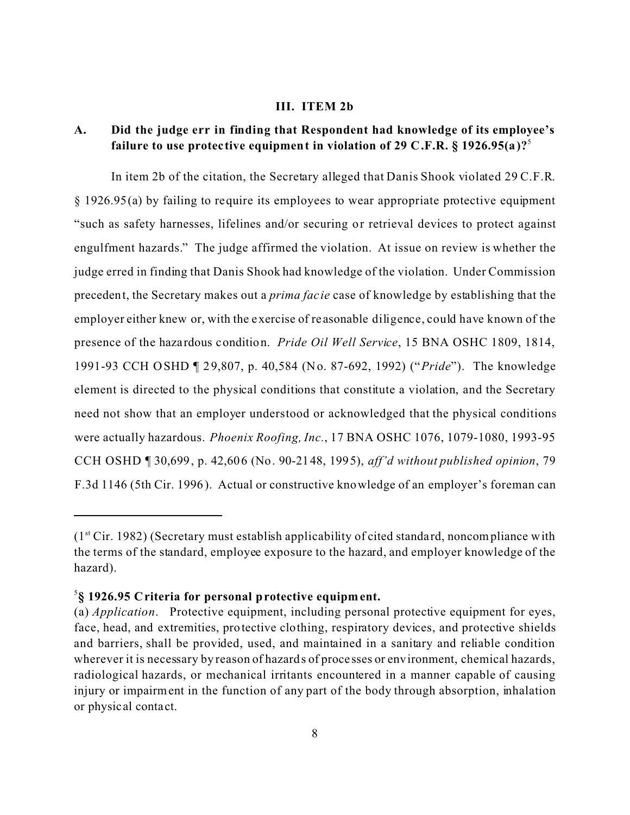#### **III. ITEM 2b**

# **A. Did the judge err in finding that Respondent had knowledge of its employee's failure to use protec tive equipment in violation of 29 C.F.R. § 1926.95(a)?**<sup>5</sup>

In item 2b of the citation, the Secretary alleged that Danis Shook violated 29 C.F.R. § 1926.95(a) by failing to require its employees to wear appropriate protective equipment "such as safety harnesses, lifelines and/or securing or retrieval devices to protect against engulfment hazards." The judge affirmed the violation. At issue on review is whether the judge erred in finding that Danis Shook had knowledge of the violation. Under Commission precedent, the Secretary makes out a *prima fac ie* case of knowledge by establishing that the employer either knew or, with the exercise of re asonable diligence, could have known of the presence of the hazardous condition. *Pride Oil Well Service*, 15 BNA OSHC 1809, 1814, 1991-93 CCH OSHD ¶ 29,807, p. 40,584 (No. 87-692, 1992) (" *Pride*"). The knowledge element is directed to the physical conditions that constitute a violation, and the Secretary need not show that an employer understood or acknowledged that the physical conditions were actually hazardous. *Phoenix Roofing, Inc.*, 17 BNA OSHC 1076, 1079-1080, 1993-95 CCH OSHD ¶ 30,699, p. 42,606 (No. 90-2148, 1995), *aff'd without published opinion*, 79 F.3d 1146 (5th Cir. 1996). Actual or constructive knowledge of an employer's foreman can

 $(1<sup>st</sup> Cir. 1982)$  (Secretary must establish applicability of cited standard, noncompliance with the terms of the standard, employee exposure to the hazard, and employer knowledge of the hazard).

<sup>5</sup> **§ 1926.95 Criteria for personal protective equipment.** 

<sup>(</sup>a) *Application*. Protective equipment, including personal protective equipment for eyes, face, head, and extremities, protective clothing, respiratory devices, and protective shields and barriers, shall be provided, used, and maintained in a sanitary and reliable condition wherever it is necessary by reason of hazards of proce sses or environment, chemical hazards, radiological hazards, or mechanical irritants encountered in a manner capable of causing injury or impairment in the function of any part of the body through absorption, inhalation or physical conta ct.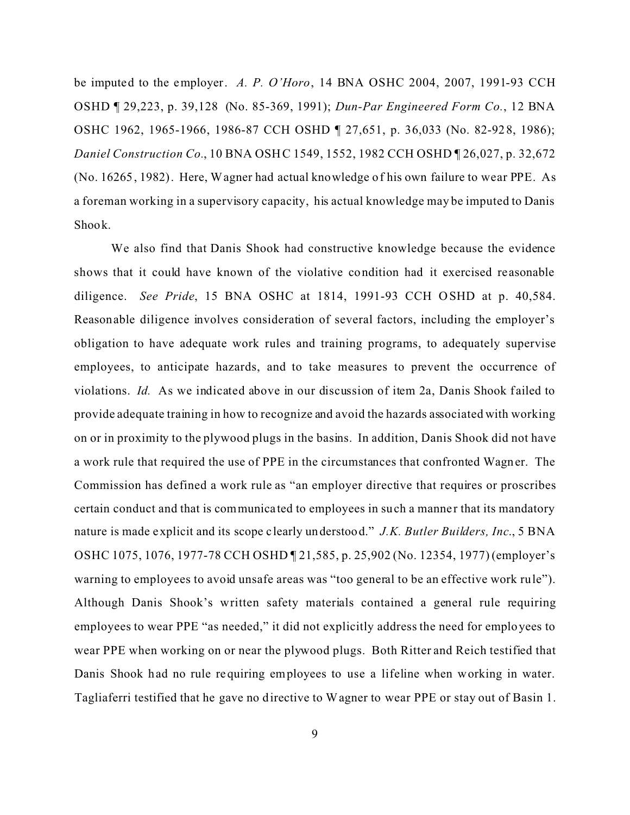be imputed to the employer. *A. P. O'Horo*, 14 BNA OSHC 2004, 2007, 1991-93 CCH OSHD ¶ 29,223, p. 39,128 (No. 85-369, 1991); *Dun-Par Engineered Form Co.*, 12 BNA OSHC 1962, 1965-1966, 1986-87 CCH OSHD ¶ 27,651, p. 36,033 (No. 82-928, 1986); *Daniel Construction Co.*, 10 BNA OSHC 1549, 1552, 1982 CCH OSHD ¶ 26,027, p. 32,672 (No. 16265, 1982). Here, Wagner had actual knowledge of his own failure to wear PPE. As a foreman working in a supervisory capacity, his actual knowledge may be imputed to Danis Shook.

We also find that Danis Shook had constructive knowledge because the evidence shows that it could have known of the violative condition had it exercised re asonable diligence. *See Pride*, 15 BNA OSHC at 1814, 1991-93 CCH O SHD at p. 40,584. Reasonable diligence involves consideration of several factors, including the employer's obligation to have adequate work rules and training programs, to adequately supervise employees, to anticipate hazards, and to take measures to prevent the occurrence of violations. *Id.* As we indicated above in our discussion of item 2a, Danis Shook failed to provide adequate training in how to recognize and avoid the hazards associated with working on or in proximity to the plywood plugs in the basins. In addition, Danis Shook did not have a work rule that required the use of PPE in the circumstances that confronted Wagner. The Commission has defined a work rule as "an employer directive that requires or proscribes certain conduct and that is communicated to employees in such a manner that its mandatory nature is made explicit and its scope c learly understood." *J.K. Butler Builders, Inc*., 5 BNA OSHC 1075, 1076, 1977-78 CCH OSHD ¶ 21,585, p. 25,902 (No. 12354, 1977) (employer's warning to employees to avoid unsafe areas was "too general to be an effective work rule"). Although Danis Shook's written safety materials contained a general rule requiring employees to wear PPE "as needed," it did not explicitly address the need for employees to wear PPE when working on or near the plywood plugs. Both Ritter and Reich testified that Danis Shook had no rule requiring employees to use a lifeline when working in water. Tagliaferri testified that he gave no directive to Wagner to wear PPE or stay out of Basin 1.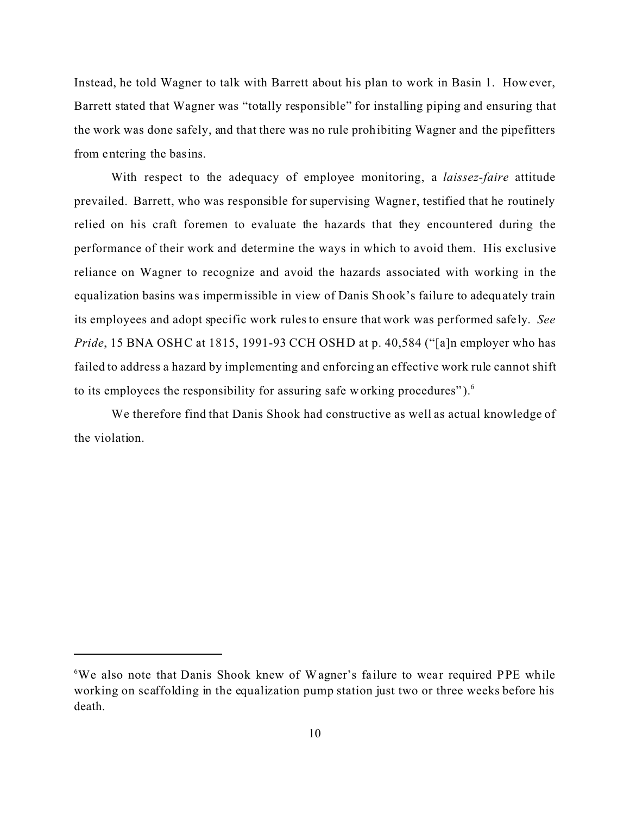Instead, he told Wagner to talk with Barrett about his plan to work in Basin 1. How ever, Barrett stated that Wagner was "totally responsible" for installing piping and ensuring that the work was done safely, and that there was no rule prohibiting Wagner and the pipefitters from entering the basins.

With respect to the adequacy of employee monitoring, a *laissez-faire* attitude prevailed. Barrett, who was responsible for supervising Wagne r, testified that he routinely relied on his craft foremen to evaluate the hazards that they encountered during the performance of their work and determine the ways in which to avoid them. His exclusive reliance on Wagner to recognize and avoid the hazards associated with working in the equalization basins was impermissible in view of Danis Shook's failure to adequately train its employees and adopt specific work rules to ensure that work was performed safely. *See Pride*, 15 BNA OSHC at 1815, 1991-93 CCH OSHD at p. 40,584 ("[a]n employer who has failed to address a hazard by implementing and enforcing an effective work rule cannot shift to its employees the responsibility for assuring safe working procedures" $)$ .<sup>6</sup>

We therefore find that Danis Shook had constructive as well as actual knowledge of the violation.

<sup>&</sup>lt;sup>6</sup>We also note that Danis Shook knew of Wagner's failure to wear required PPE while working on scaffolding in the equalization pump station just two or three weeks before his death.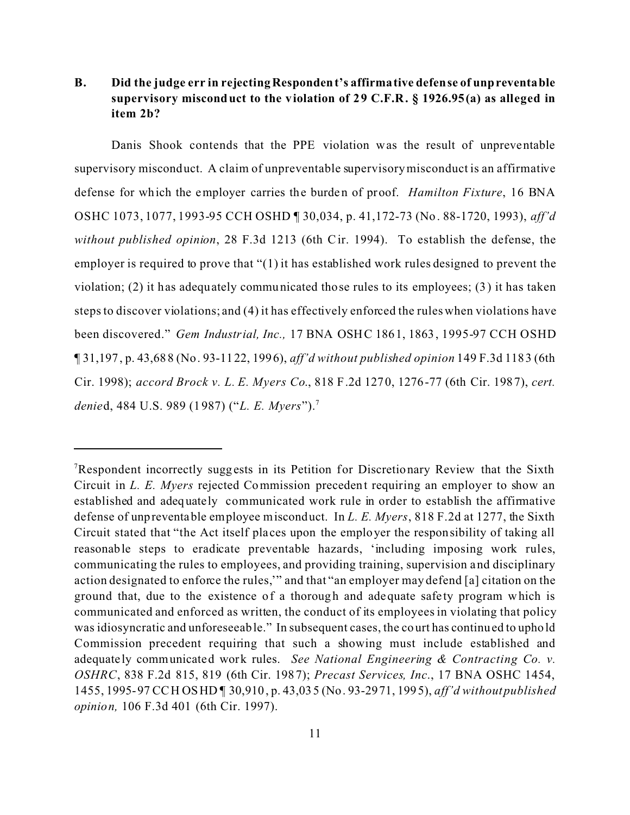# **B. Did the judge err in rejectingRespondent's affirmative defense of unpreventable supervisory misconduct to the violation of 29 C.F.R. § 1926.95(a) as alleged in item 2b?**

Danis Shook contends that the PPE violation was the result of unpreventable supervisory misconduct. A claim of unpreventable supervisory misconduct is an affirmative defense for which the employer carries the burden of proof. *Hamilton Fixture*, 16 BNA OSHC 1073, 1077, 1993-95 CCH OSHD ¶ 30,034, p. 41,172-73 (No. 88-1720, 1993), *aff'd without published opinion*, 28 F.3d 1213 (6th C ir. 1994). To establish the defense, the employer is required to prove that "(1) it has established work rules designed to prevent the violation; (2) it has adequately communicated those rules to its employees; (3) it has taken steps to discover violations; and (4) it has effectively enforced the rules when violations have been discovered." *Gem Industrial, Inc.,* 17 BNA OSHC 1861, 1863, 1995-97 CCH OSHD ¶ 31,197, p. 43,688 (No. 93-1122, 1996), *aff'd without published opinion* 149 F.3d 1183 (6th Cir. 1998); *accord Brock v. L. E. Myers Co*., 818 F.2d 1270, 1276-77 (6th Cir. 1987), *cert. denie*d, 484 U.S. 989 (1987) ("*L. E. Myers*").<sup>7</sup>

<sup>&</sup>lt;sup>7</sup>Respondent incorrectly suggests in its Petition for Discretionary Review that the Sixth Circuit in *L. E. Myers* rejected Commission precedent requiring an employer to show an established and adequately communicated work rule in order to establish the affirmative defense of unpreventable employee misconduct. In *L. E. Myers*, 818 F.2d at 1277, the Sixth Circuit stated that "the Act itself places upon the employer the responsibility of taking all reasonable steps to eradicate preventable hazards, 'including imposing work rules, communicating the rules to employees, and providing training, supervision and disciplinary action designated to enforce the rules,'" and that "an employer may defend [a] citation on the ground that, due to the existence of a thorough and adequate safe ty program which is communicated and enforced as written, the conduct of its employees in violating that policy was idiosyncratic and unforeseeable." In subsequent cases, the court has continued to uphold Commission precedent requiring that such a showing must include established and adequately communicated work rules. *See National Engineering & Contracting Co. v. OSHRC*, 838 F.2d 815, 819 (6th Cir. 1987); *Precast Services, Inc*., 17 BNA OSHC 1454, 1455, 1995-97 CCH OSHD ¶ 30,910, p. 43,035 (No. 93-2971, 1995), *aff'd without published opinion,* 106 F.3d 401 (6th Cir. 1997).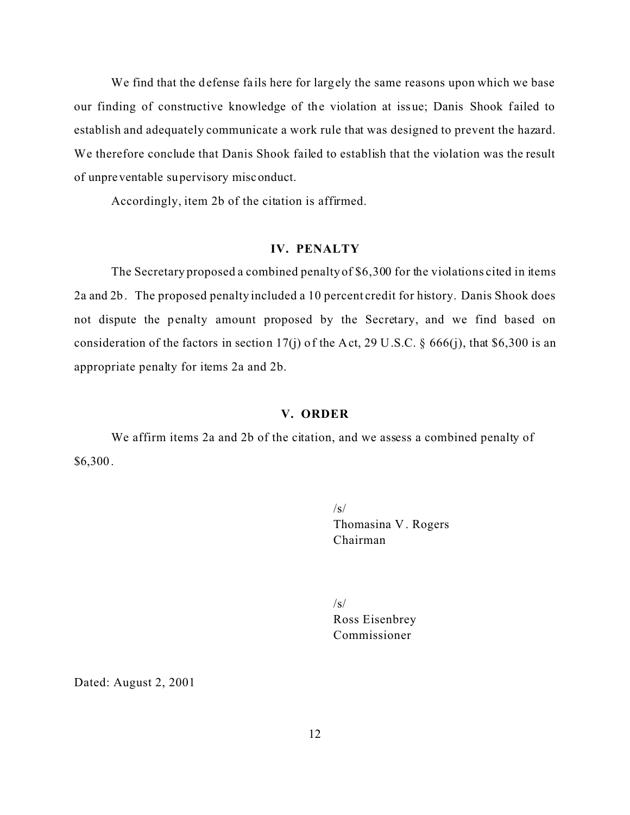We find that the defense fails here for largely the same reasons upon which we base our finding of constructive knowledge of the violation at issue; Danis Shook failed to establish and adequately communicate a work rule that was designed to prevent the hazard. We therefore conclude that Danis Shook failed to establish that the violation was the result of unpreventable supervisory misconduct.

Accordingly, item 2b of the citation is affirmed.

# **IV. PENALTY**

The Secretary proposed a combined penalty of \$6,300 for the violations cited in items 2a and 2b. The proposed penalty included a 10 percent credit for history. Danis Shook does not dispute the penalty amount proposed by the Secretary, and we find based on consideration of the factors in section 17(j) of the Act, 29 U.S.C. § 666(j), that \$6,300 is an appropriate penalty for items 2a and 2b.

## **V. ORDER**

We affirm items 2a and 2b of the citation, and we assess a combined penalty of \$6,300.

> $\sqrt{s}$ Thomasina V . Rogers Chairman

 $\sqrt{s}$ Ross Eisenbrey Commissioner

Dated: August 2, 2001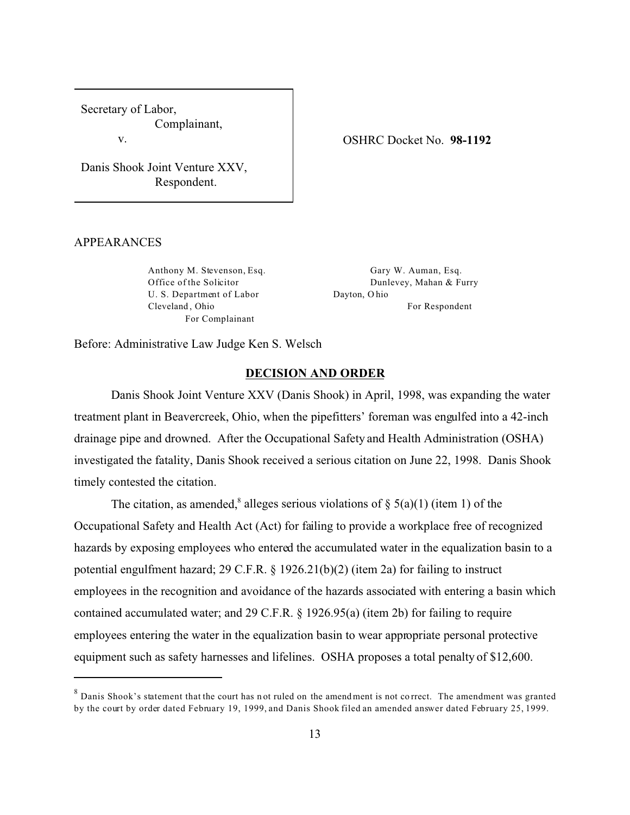Secretary of Labor, Complainant,

v.

Danis Shook Joint Venture XXV, Respondent.

#### APPEARANCES

Anthony M. Stevenson, Esq. Office of the Solicitor U. S. Department of Labor Cleveland , Ohio For Complainant

Gary W. Auman, Esq. Dunlevey, Mahan & Furry Dayton, O hio

OSHRC Docket No. **98-1192** 

For Respondent

Before: Administrative Law Judge Ken S. Welsch

## **DECISION AND ORDER**

Danis Shook Joint Venture XXV (Danis Shook) in April, 1998, was expanding the water treatment plant in Beavercreek, Ohio, when the pipefitters' foreman was engulfed into a 42-inch drainage pipe and drowned. After the Occupational Safety and Health Administration (OSHA) investigated the fatality, Danis Shook received a serious citation on June 22, 1998. Danis Shook timely contested the citation.

The citation, as amended,<sup>8</sup> alleges serious violations of  $\S$  5(a)(1) (item 1) of the Occupational Safety and Health Act (Act) for failing to provide a workplace free of recognized hazards by exposing employees who entered the accumulated water in the equalization basin to a potential engulfment hazard; 29 C.F.R. § 1926.21(b)(2) (item 2a) for failing to instruct employees in the recognition and avoidance of the hazards associated with entering a basin which contained accumulated water; and 29 C.F.R. § 1926.95(a) (item 2b) for failing to require employees entering the water in the equalization basin to wear appropriate personal protective equipment such as safety harnesses and lifelines. OSHA proposes a total penalty of \$12,600.

 $8$  Danis Shook's statement that the court has not ruled on the amend ment is not correct. The amendment was granted by the court by order dated February 19, 1999, and Danis Shook filed an amended answer dated February 25, 1999.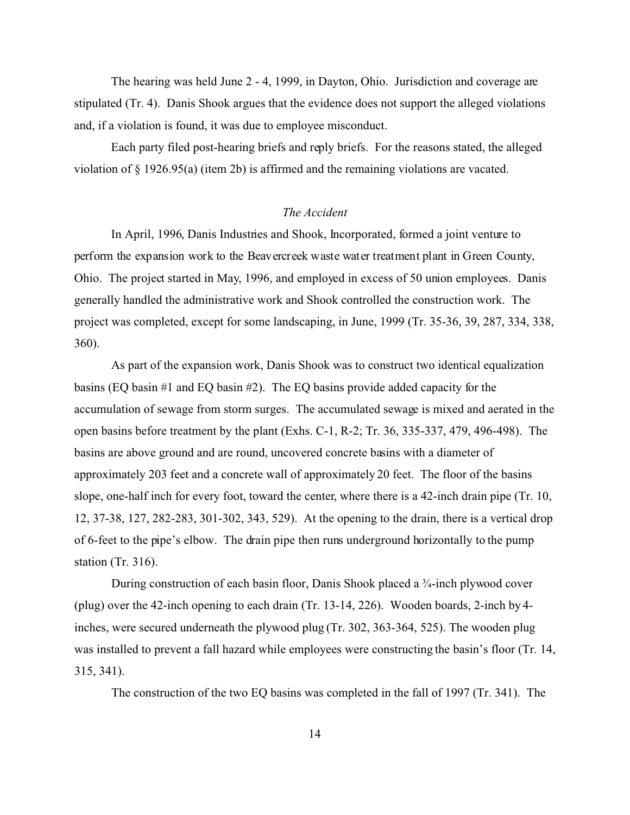The hearing was held June 2 - 4, 1999, in Dayton, Ohio. Jurisdiction and coverage are stipulated (Tr. 4). Danis Shook argues that the evidence does not support the alleged violations and, if a violation is found, it was due to employee misconduct.

Each party filed post-hearing briefs and reply briefs. For the reasons stated, the alleged violation of § 1926.95(a) (item 2b) is affirmed and the remaining violations are vacated.

## *The Accident*

In April, 1996, Danis Industries and Shook, Incorporated, formed a joint venture to perform the expansion work to the Beavercreek waste water treatment plant in Green County, Ohio. The project started in May, 1996, and employed in excess of 50 union employees. Danis generally handled the administrative work and Shook controlled the construction work. The project was completed, except for some landscaping, in June, 1999 (Tr. 35-36, 39, 287, 334, 338, 360).

As part of the expansion work, Danis Shook was to construct two identical equalization basins (EQ basin #1 and EQ basin #2). The EQ basins provide added capacity for the accumulation of sewage from storm surges. The accumulated sewage is mixed and aerated in the open basins before treatment by the plant (Exhs. C-1, R-2; Tr. 36, 335-337, 479, 496-498). The basins are above ground and are round, uncovered concrete basins with a diameter of approximately 203 feet and a concrete wall of approximately 20 feet. The floor of the basins slope, one-half inch for every foot, toward the center, where there is a 42-inch drain pipe (Tr. 10, 12, 37-38, 127, 282-283, 301-302, 343, 529). At the opening to the drain, there is a vertical drop of 6-feet to the pipe's elbow. The drain pipe then runs underground horizontally to the pump station (Tr. 316).

During construction of each basin floor, Danis Shook placed a ¾-inch plywood cover (plug) over the 42-inch opening to each drain (Tr. 13-14, 226). Wooden boards, 2-inch by 4 inches, were secured underneath the plywood plug (Tr. 302, 363-364, 525). The wooden plug was installed to prevent a fall hazard while employees were constructing the basin's floor (Tr. 14, 315, 341).

The construction of the two EQ basins was completed in the fall of 1997 (Tr. 341). The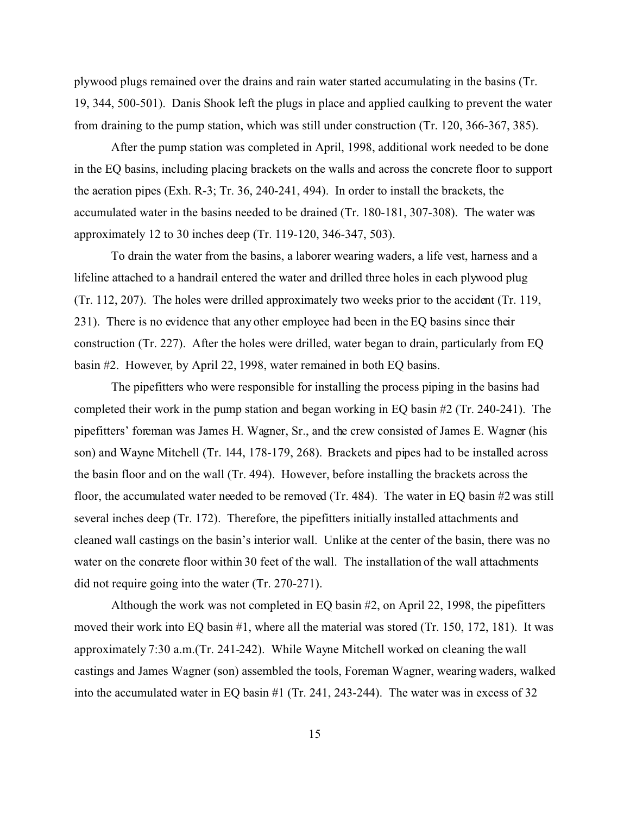plywood plugs remained over the drains and rain water started accumulating in the basins (Tr. 19, 344, 500-501). Danis Shook left the plugs in place and applied caulking to prevent the water from draining to the pump station, which was still under construction (Tr. 120, 366-367, 385).

After the pump station was completed in April, 1998, additional work needed to be done in the EQ basins, including placing brackets on the walls and across the concrete floor to support the aeration pipes (Exh. R-3; Tr. 36, 240-241, 494). In order to install the brackets, the accumulated water in the basins needed to be drained (Tr. 180-181, 307-308). The water was approximately 12 to 30 inches deep (Tr. 119-120, 346-347, 503).

To drain the water from the basins, a laborer wearing waders, a life vest, harness and a lifeline attached to a handrail entered the water and drilled three holes in each plywood plug (Tr. 112, 207). The holes were drilled approximately two weeks prior to the accident (Tr. 119, 231). There is no evidence that any other employee had been in the EQ basins since their construction (Tr. 227). After the holes were drilled, water began to drain, particularly from EQ basin #2. However, by April 22, 1998, water remained in both EQ basins.

The pipefitters who were responsible for installing the process piping in the basins had completed their work in the pump station and began working in EQ basin #2 (Tr. 240-241). The pipefitters' foreman was James H. Wagner, Sr., and the crew consisted of James E. Wagner (his son) and Wayne Mitchell (Tr. 144, 178-179, 268). Brackets and pipes had to be installed across the basin floor and on the wall (Tr. 494). However, before installing the brackets across the floor, the accumulated water needed to be removed (Tr. 484). The water in EQ basin #2 was still several inches deep (Tr. 172). Therefore, the pipefitters initially installed attachments and cleaned wall castings on the basin's interior wall. Unlike at the center of the basin, there was no water on the concrete floor within 30 feet of the wall. The installation of the wall attachments did not require going into the water (Tr. 270-271).

Although the work was not completed in EQ basin #2, on April 22, 1998, the pipefitters moved their work into EQ basin #1, where all the material was stored (Tr. 150, 172, 181). It was approximately 7:30 a.m.(Tr. 241-242). While Wayne Mitchell worked on cleaning the wall castings and James Wagner (son) assembled the tools, Foreman Wagner, wearing waders, walked into the accumulated water in EQ basin #1 (Tr. 241, 243-244). The water was in excess of 32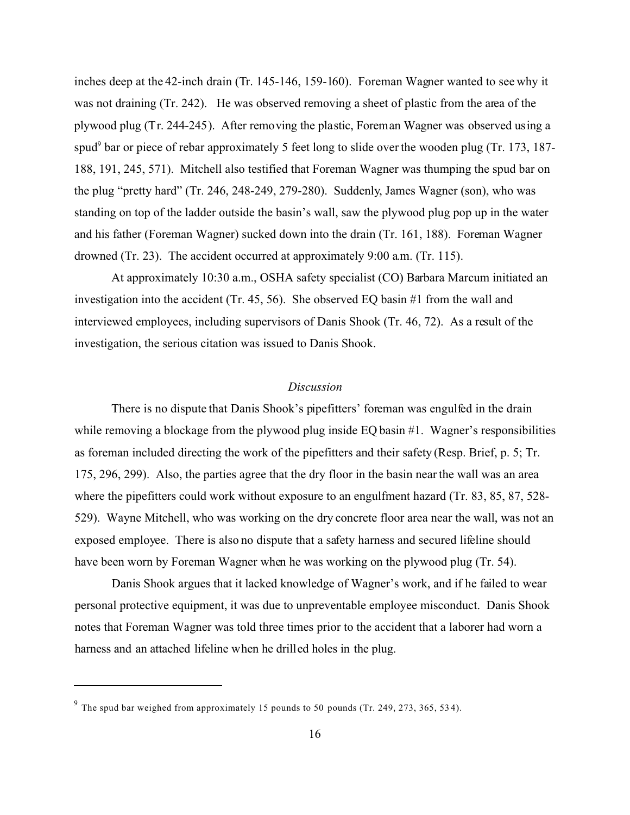inches deep at the 42-inch drain (Tr. 145-146, 159-160). Foreman Wagner wanted to see why it was not draining (Tr. 242). He was observed removing a sheet of plastic from the area of the plywood plug (Tr. 244-245). After removing the plastic, Foreman Wagner was observed using a spud<sup>9</sup> bar or piece of rebar approximately 5 feet long to slide over the wooden plug (Tr. 173, 187-188, 191, 245, 571). Mitchell also testified that Foreman Wagner was thumping the spud bar on the plug "pretty hard" (Tr. 246, 248-249, 279-280). Suddenly, James Wagner (son), who was standing on top of the ladder outside the basin's wall, saw the plywood plug pop up in the water and his father (Foreman Wagner) sucked down into the drain (Tr. 161, 188). Foreman Wagner drowned (Tr. 23). The accident occurred at approximately  $9:00$  a.m. (Tr. 115).

At approximately 10:30 a.m., OSHA safety specialist (CO) Barbara Marcum initiated an investigation into the accident (Tr. 45, 56). She observed EQ basin #1 from the wall and interviewed employees, including supervisors of Danis Shook (Tr. 46, 72). As a result of the investigation, the serious citation was issued to Danis Shook.

## *Discussion*

There is no dispute that Danis Shook's pipefitters' foreman was engulfed in the drain while removing a blockage from the plywood plug inside EQ basin #1. Wagner's responsibilities as foreman included directing the work of the pipefitters and their safety (Resp. Brief, p. 5; Tr. 175, 296, 299). Also, the parties agree that the dry floor in the basin near the wall was an area where the pipefitters could work without exposure to an engulfment hazard (Tr. 83, 85, 87, 528-529). Wayne Mitchell, who was working on the dry concrete floor area near the wall, was not an exposed employee. There is also no dispute that a safety harness and secured lifeline should have been worn by Foreman Wagner when he was working on the plywood plug (Tr. 54).

Danis Shook argues that it lacked knowledge of Wagner's work, and if he failed to wear personal protective equipment, it was due to unpreventable employee misconduct. Danis Shook notes that Foreman Wagner was told three times prior to the accident that a laborer had worn a harness and an attached lifeline when he drilled holes in the plug.

 $9$  The spud bar weighed from approximately 15 pounds to 50 pounds (Tr. 249, 273, 365, 534).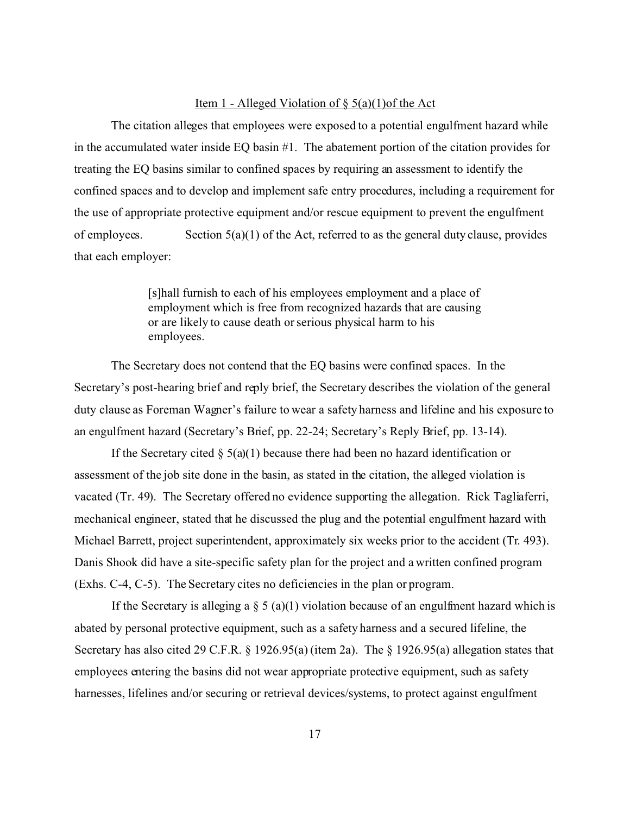## Item 1 - Alleged Violation of  $\S$  5(a)(1)of the Act

The citation alleges that employees were exposed to a potential engulfment hazard while in the accumulated water inside EQ basin #1. The abatement portion of the citation provides for treating the EQ basins similar to confined spaces by requiring an assessment to identify the confined spaces and to develop and implement safe entry procedures, including a requirement for the use of appropriate protective equipment and/or rescue equipment to prevent the engulfment of employees. Section  $5(a)(1)$  of the Act, referred to as the general duty clause, provides that each employer:

> [s]hall furnish to each of his employees employment and a place of employment which is free from recognized hazards that are causing or are likely to cause death or serious physical harm to his employees.

The Secretary does not contend that the EQ basins were confined spaces. In the Secretary's post-hearing brief and reply brief, the Secretary describes the violation of the general duty clause as Foreman Wagner's failure to wear a safety harness and lifeline and his exposure to an engulfment hazard (Secretary's Brief, pp. 22-24; Secretary's Reply Brief, pp. 13-14).

If the Secretary cited  $\S$  5(a)(1) because there had been no hazard identification or assessment of the job site done in the basin, as stated in the citation, the alleged violation is vacated (Tr. 49). The Secretary offered no evidence supporting the allegation. Rick Tagliaferri, mechanical engineer, stated that he discussed the plug and the potential engulfment hazard with Michael Barrett, project superintendent, approximately six weeks prior to the accident (Tr. 493). Danis Shook did have a site-specific safety plan for the project and a written confined program (Exhs. C-4, C-5). The Secretary cites no deficiencies in the plan or program.

If the Secretary is alleging a  $\S 5$  (a)(1) violation because of an engulfment hazard which is abated by personal protective equipment, such as a safety harness and a secured lifeline, the Secretary has also cited 29 C.F.R. § 1926.95(a) (item 2a). The § 1926.95(a) allegation states that employees entering the basins did not wear appropriate protective equipment, such as safety harnesses, lifelines and/or securing or retrieval devices/systems, to protect against engulfment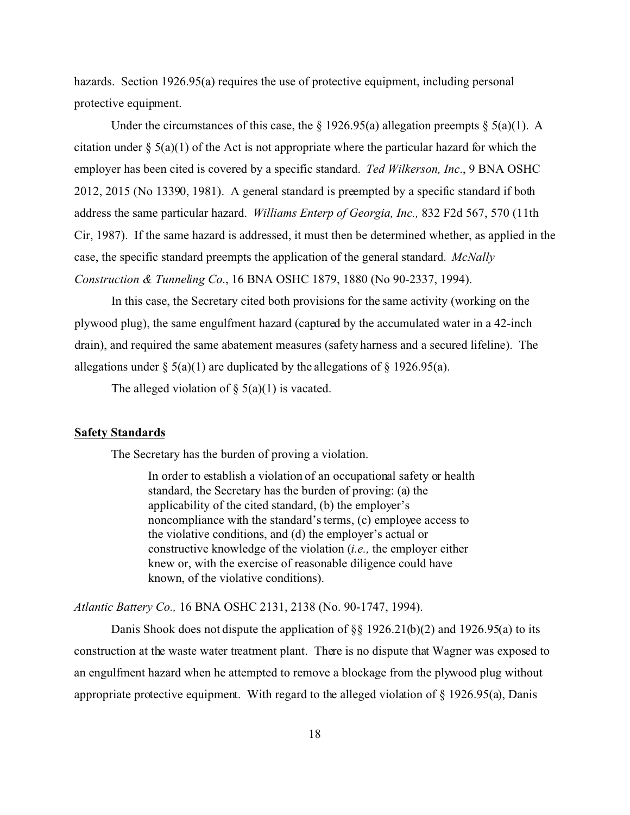hazards. Section 1926.95(a) requires the use of protective equipment, including personal protective equipment.

Under the circumstances of this case, the  $\S$  1926.95(a) allegation preempts  $\S$  5(a)(1). A citation under  $\S$  5(a)(1) of the Act is not appropriate where the particular hazard for which the employer has been cited is covered by a specific standard. *Ted Wilkerson, Inc*., 9 BNA OSHC 2012, 2015 (No 13390, 1981). A general standard is preempted by a specific standard if both address the same particular hazard. *Williams Enterp of Georgia, Inc.,* 832 F2d 567, 570 (11th Cir, 1987). If the same hazard is addressed, it must then be determined whether, as applied in the case, the specific standard preempts the application of the general standard. *McNally Construction & Tunneling Co*., 16 BNA OSHC 1879, 1880 (No 90-2337, 1994).

In this case, the Secretary cited both provisions for the same activity (working on the plywood plug), the same engulfment hazard (captured by the accumulated water in a 42-inch drain), and required the same abatement measures (safety harness and a secured lifeline). The allegations under  $\S$  5(a)(1) are duplicated by the allegations of  $\S$  1926.95(a).

The alleged violation of  $\S$  5(a)(1) is vacated.

#### **Safety Standards**

The Secretary has the burden of proving a violation.

In order to establish a violation of an occupational safety or health standard, the Secretary has the burden of proving: (a) the applicability of the cited standard, (b) the employer's noncompliance with the standard's terms, (c) employee access to the violative conditions, and (d) the employer's actual or constructive knowledge of the violation (*i.e.,* the employer either knew or, with the exercise of reasonable diligence could have known, of the violative conditions).

*Atlantic Battery Co.,* 16 BNA OSHC 2131, 2138 (No. 90-1747, 1994).

Danis Shook does not dispute the application of  $\S$ § 1926.21(b)(2) and 1926.95(a) to its construction at the waste water treatment plant. There is no dispute that Wagner was exposed to an engulfment hazard when he attempted to remove a blockage from the plywood plug without appropriate protective equipment. With regard to the alleged violation of § 1926.95(a), Danis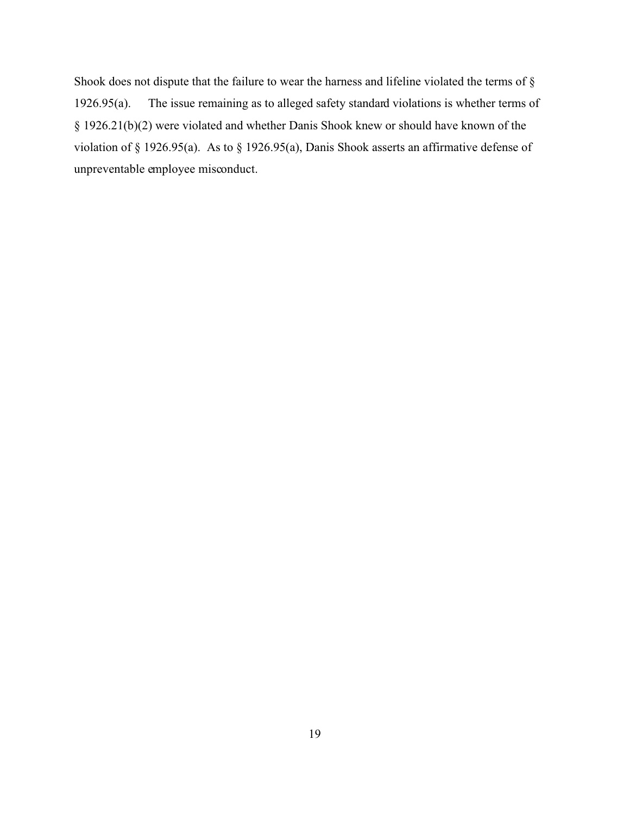Shook does not dispute that the failure to wear the harness and lifeline violated the terms of § 1926.95(a). The issue remaining as to alleged safety standard violations is whether terms of § 1926.21(b)(2) were violated and whether Danis Shook knew or should have known of the violation of § 1926.95(a). As to § 1926.95(a), Danis Shook asserts an affirmative defense of unpreventable employee misconduct.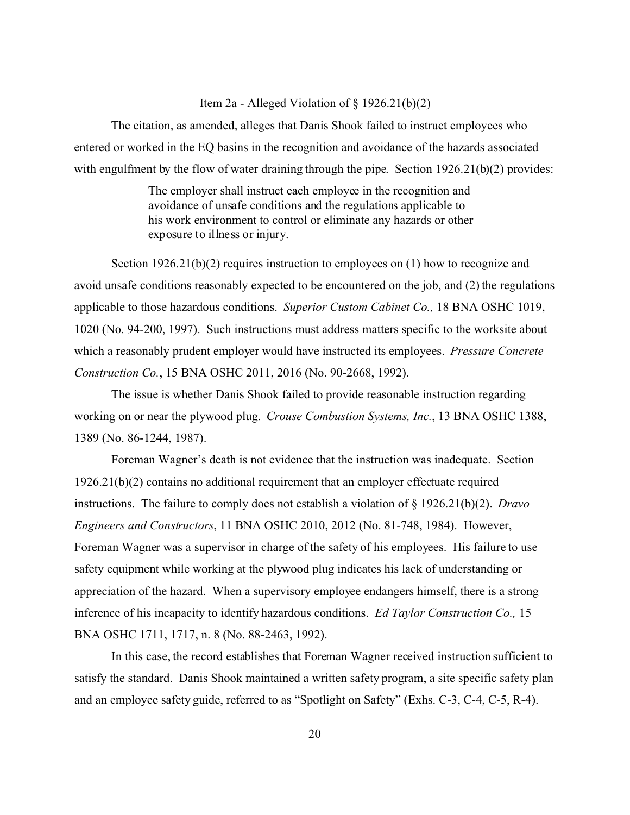## Item 2a - Alleged Violation of  $\S$  1926.21(b)(2)

The citation, as amended, alleges that Danis Shook failed to instruct employees who entered or worked in the EQ basins in the recognition and avoidance of the hazards associated with engulfment by the flow of water draining through the pipe. Section 1926.21(b)(2) provides:

> The employer shall instruct each employee in the recognition and avoidance of unsafe conditions and the regulations applicable to his work environment to control or eliminate any hazards or other exposure to illness or injury.

Section 1926.21(b)(2) requires instruction to employees on (1) how to recognize and avoid unsafe conditions reasonably expected to be encountered on the job, and (2) the regulations applicable to those hazardous conditions. *Superior Custom Cabinet Co.,* 18 BNA OSHC 1019, 1020 (No. 94-200, 1997). Such instructions must address matters specific to the worksite about which a reasonably prudent employer would have instructed its employees. *Pressure Concrete Construction Co.*, 15 BNA OSHC 2011, 2016 (No. 90-2668, 1992).

The issue is whether Danis Shook failed to provide reasonable instruction regarding working on or near the plywood plug. *Crouse Combustion Systems, Inc.*, 13 BNA OSHC 1388, 1389 (No. 86-1244, 1987).

Foreman Wagner's death is not evidence that the instruction was inadequate. Section 1926.21(b)(2) contains no additional requirement that an employer effectuate required instructions. The failure to comply does not establish a violation of § 1926.21(b)(2). *Dravo Engineers and Constructors*, 11 BNA OSHC 2010, 2012 (No. 81-748, 1984). However, Foreman Wagner was a supervisor in charge of the safety of his employees. His failure to use safety equipment while working at the plywood plug indicates his lack of understanding or appreciation of the hazard. When a supervisory employee endangers himself, there is a strong inference of his incapacity to identify hazardous conditions. *Ed Taylor Construction Co.,* 15 BNA OSHC 1711, 1717, n. 8 (No. 88-2463, 1992).

In this case, the record establishes that Foreman Wagner received instruction sufficient to satisfy the standard. Danis Shook maintained a written safety program, a site specific safety plan and an employee safety guide, referred to as "Spotlight on Safety" (Exhs. C-3, C-4, C-5, R-4).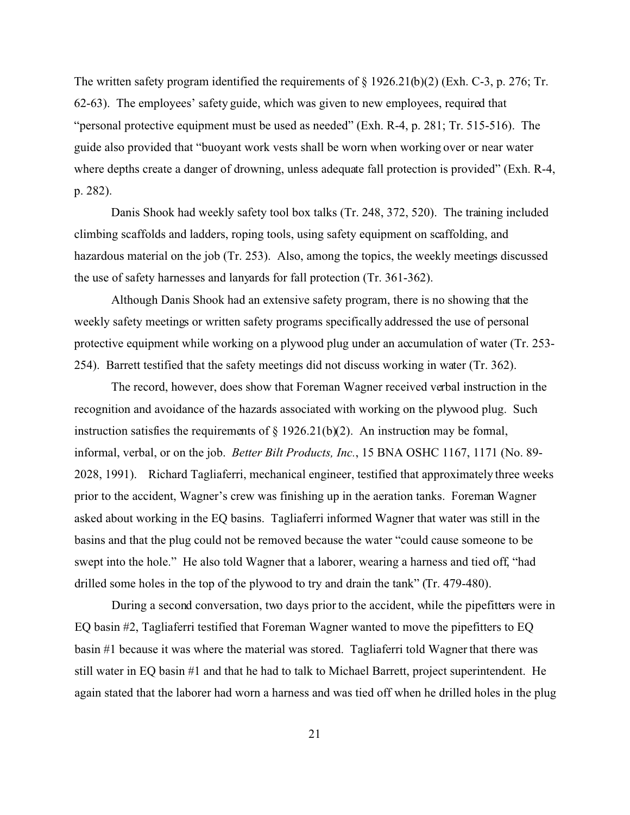The written safety program identified the requirements of § 1926.21(b)(2) (Exh. C-3, p. 276; Tr. 62-63). The employees' safety guide, which was given to new employees, required that "personal protective equipment must be used as needed" (Exh. R-4, p. 281; Tr. 515-516). The guide also provided that "buoyant work vests shall be worn when working over or near water where depths create a danger of drowning, unless adequate fall protection is provided" (Exh. R-4, p. 282).

Danis Shook had weekly safety tool box talks (Tr. 248, 372, 520). The training included climbing scaffolds and ladders, roping tools, using safety equipment on scaffolding, and hazardous material on the job (Tr. 253). Also, among the topics, the weekly meetings discussed the use of safety harnesses and lanyards for fall protection (Tr. 361-362).

Although Danis Shook had an extensive safety program, there is no showing that the weekly safety meetings or written safety programs specifically addressed the use of personal protective equipment while working on a plywood plug under an accumulation of water (Tr. 253- 254). Barrett testified that the safety meetings did not discuss working in water (Tr. 362).

The record, however, does show that Foreman Wagner received verbal instruction in the recognition and avoidance of the hazards associated with working on the plywood plug. Such instruction satisfies the requirements of  $\S$  1926.21(b)(2). An instruction may be formal, informal, verbal, or on the job. *Better Bilt Products, Inc.*, 15 BNA OSHC 1167, 1171 (No. 89- 2028, 1991). Richard Tagliaferri, mechanical engineer, testified that approximately three weeks prior to the accident, Wagner's crew was finishing up in the aeration tanks. Foreman Wagner asked about working in the EQ basins. Tagliaferri informed Wagner that water was still in the basins and that the plug could not be removed because the water "could cause someone to be swept into the hole." He also told Wagner that a laborer, wearing a harness and tied off, "had drilled some holes in the top of the plywood to try and drain the tank" (Tr. 479-480).

During a second conversation, two days prior to the accident, while the pipefitters were in EQ basin #2, Tagliaferri testified that Foreman Wagner wanted to move the pipefitters to EQ basin #1 because it was where the material was stored. Tagliaferri told Wagner that there was still water in EQ basin #1 and that he had to talk to Michael Barrett, project superintendent. He again stated that the laborer had worn a harness and was tied off when he drilled holes in the plug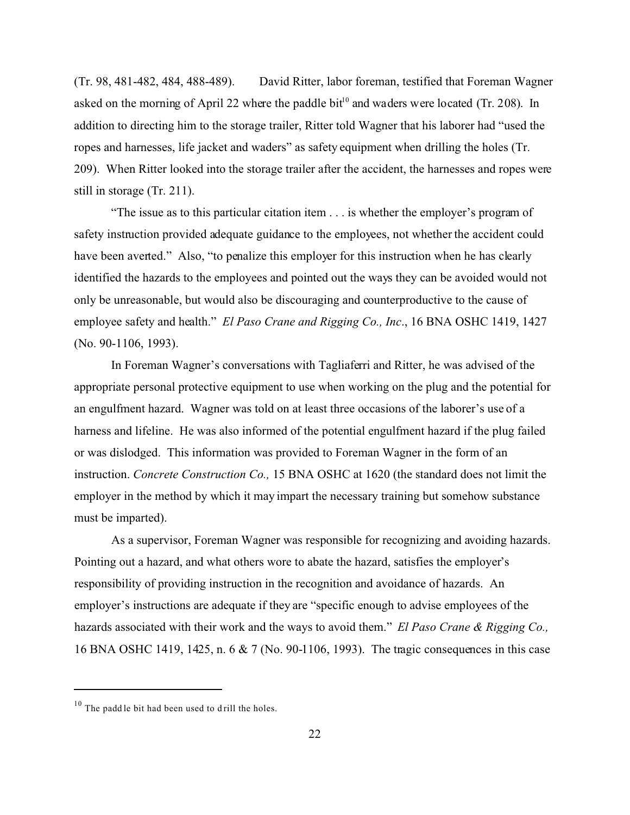(Tr. 98, 481-482, 484, 488-489). David Ritter, labor foreman, testified that Foreman Wagner asked on the morning of April 22 where the paddle bit<sup>10</sup> and waders were located (Tr. 208). In addition to directing him to the storage trailer, Ritter told Wagner that his laborer had "used the ropes and harnesses, life jacket and waders" as safety equipment when drilling the holes (Tr. 209). When Ritter looked into the storage trailer after the accident, the harnesses and ropes were still in storage (Tr. 211).

"The issue as to this particular citation item . . . is whether the employer's program of safety instruction provided adequate guidance to the employees, not whether the accident could have been averted." Also, "to penalize this employer for this instruction when he has clearly identified the hazards to the employees and pointed out the ways they can be avoided would not only be unreasonable, but would also be discouraging and counterproductive to the cause of employee safety and health." *El Paso Crane and Rigging Co., Inc*., 16 BNA OSHC 1419, 1427 (No. 90-1106, 1993).

In Foreman Wagner's conversations with Tagliaferri and Ritter, he was advised of the appropriate personal protective equipment to use when working on the plug and the potential for an engulfment hazard. Wagner was told on at least three occasions of the laborer's use of a harness and lifeline. He was also informed of the potential engulfment hazard if the plug failed or was dislodged. This information was provided to Foreman Wagner in the form of an instruction. *Concrete Construction Co.,* 15 BNA OSHC at 1620 (the standard does not limit the employer in the method by which it may impart the necessary training but somehow substance must be imparted).

As a supervisor, Foreman Wagner was responsible for recognizing and avoiding hazards. Pointing out a hazard, and what others wore to abate the hazard, satisfies the employer's responsibility of providing instruction in the recognition and avoidance of hazards. An employer's instructions are adequate if they are "specific enough to advise employees of the hazards associated with their work and the ways to avoid them." *El Paso Crane & Rigging Co.,*  16 BNA OSHC 1419, 1425, n. 6 & 7 (No. 90-1106, 1993). The tragic consequences in this case

 $10$  The padd le bit had been used to drill the holes.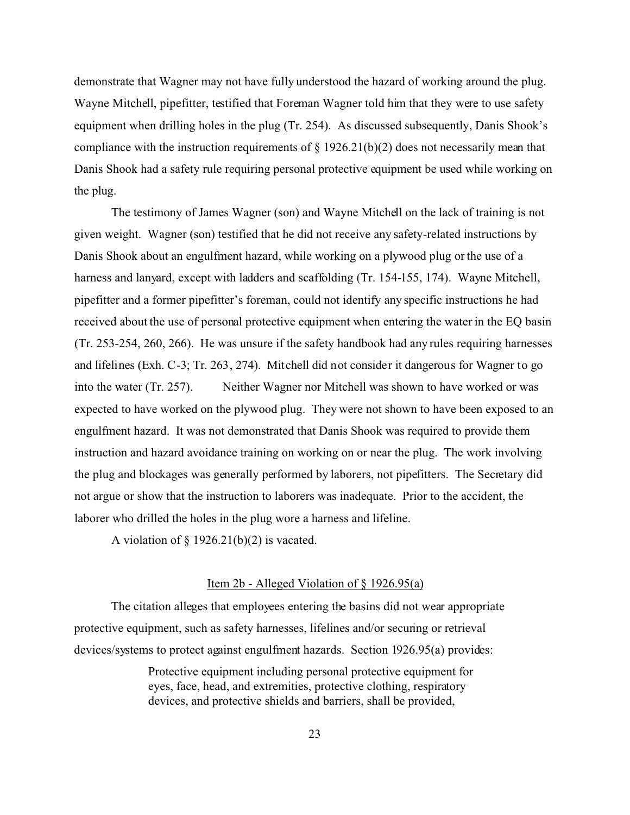demonstrate that Wagner may not have fully understood the hazard of working around the plug. Wayne Mitchell, pipefitter, testified that Foreman Wagner told him that they were to use safety equipment when drilling holes in the plug (Tr. 254). As discussed subsequently, Danis Shook's compliance with the instruction requirements of  $\S 1926.21(b)(2)$  does not necessarily mean that Danis Shook had a safety rule requiring personal protective equipment be used while working on the plug.

The testimony of James Wagner (son) and Wayne Mitchell on the lack of training is not given weight. Wagner (son) testified that he did not receive any safety-related instructions by Danis Shook about an engulfment hazard, while working on a plywood plug or the use of a harness and lanyard, except with ladders and scaffolding (Tr. 154-155, 174). Wayne Mitchell, pipefitter and a former pipefitter's foreman, could not identify any specific instructions he had received about the use of personal protective equipment when entering the water in the EQ basin (Tr. 253-254, 260, 266). He was unsure if the safety handbook had any rules requiring harnesses and lifelines (Exh. C-3; Tr. 263, 274). Mitchell did not consider it dangerous for Wagner to go into the water (Tr. 257). Neither Wagner nor Mitchell was shown to have worked or was expected to have worked on the plywood plug. They were not shown to have been exposed to an engulfment hazard. It was not demonstrated that Danis Shook was required to provide them instruction and hazard avoidance training on working on or near the plug. The work involving the plug and blockages was generally performed by laborers, not pipefitters. The Secretary did not argue or show that the instruction to laborers was inadequate. Prior to the accident, the laborer who drilled the holes in the plug wore a harness and lifeline.

A violation of  $\S$  1926.21(b)(2) is vacated.

#### Item 2b - Alleged Violation of § 1926.95(a)

The citation alleges that employees entering the basins did not wear appropriate protective equipment, such as safety harnesses, lifelines and/or securing or retrieval devices/systems to protect against engulfment hazards. Section 1926.95(a) provides:

> Protective equipment including personal protective equipment for eyes, face, head, and extremities, protective clothing, respiratory devices, and protective shields and barriers, shall be provided,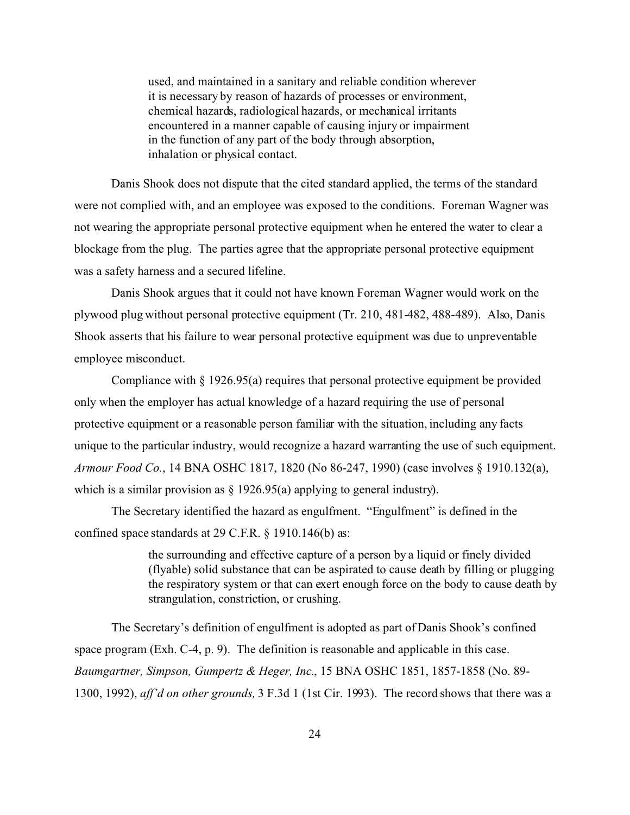used, and maintained in a sanitary and reliable condition wherever it is necessary by reason of hazards of processes or environment, chemical hazards, radiological hazards, or mechanical irritants encountered in a manner capable of causing injury or impairment in the function of any part of the body through absorption, inhalation or physical contact.

Danis Shook does not dispute that the cited standard applied, the terms of the standard were not complied with, and an employee was exposed to the conditions. Foreman Wagner was not wearing the appropriate personal protective equipment when he entered the water to clear a blockage from the plug. The parties agree that the appropriate personal protective equipment was a safety harness and a secured lifeline.

Danis Shook argues that it could not have known Foreman Wagner would work on the plywood plug without personal protective equipment (Tr. 210, 481-482, 488-489). Also, Danis Shook asserts that his failure to wear personal protective equipment was due to unpreventable employee misconduct.

Compliance with  $\S 1926.95(a)$  requires that personal protective equipment be provided only when the employer has actual knowledge of a hazard requiring the use of personal protective equipment or a reasonable person familiar with the situation, including any facts unique to the particular industry, would recognize a hazard warranting the use of such equipment. *Armour Food Co.*, 14 BNA OSHC 1817, 1820 (No 86-247, 1990) (case involves § 1910.132(a), which is a similar provision as  $\S$  1926.95(a) applying to general industry).

The Secretary identified the hazard as engulfment. "Engulfment" is defined in the confined space standards at 29 C.F.R. § 1910.146(b) as:

> the surrounding and effective capture of a person by a liquid or finely divided (flyable) solid substance that can be aspirated to cause death by filling or plugging the respiratory system or that can exert enough force on the body to cause death by strangulation, constriction, or crushing.

The Secretary's definition of engulfment is adopted as part of Danis Shook's confined space program (Exh. C-4, p. 9). The definition is reasonable and applicable in this case. *Baumgartner, Simpson, Gumpertz & Heger, Inc.*, 15 BNA OSHC 1851, 1857-1858 (No. 89- 1300, 1992), *aff'd on other grounds,* 3 F.3d 1 (1st Cir. 1993). The record shows that there was a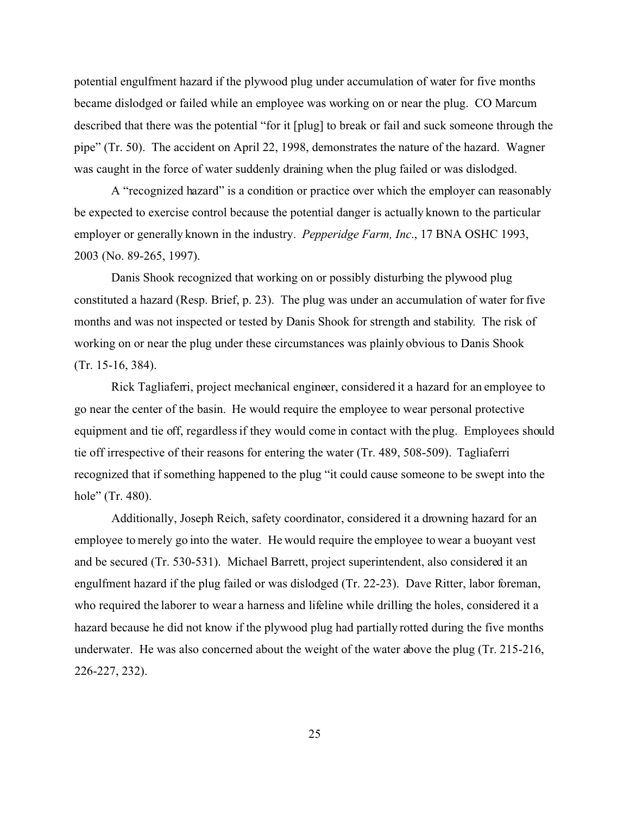potential engulfment hazard if the plywood plug under accumulation of water for five months became dislodged or failed while an employee was working on or near the plug. CO Marcum described that there was the potential "for it [plug] to break or fail and suck someone through the pipe" (Tr. 50). The accident on April 22, 1998, demonstrates the nature of the hazard. Wagner was caught in the force of water suddenly draining when the plug failed or was dislodged.

A "recognized hazard" is a condition or practice over which the employer can reasonably be expected to exercise control because the potential danger is actually known to the particular employer or generally known in the industry. *Pepperidge Farm, Inc*., 17 BNA OSHC 1993, 2003 (No. 89-265, 1997).

Danis Shook recognized that working on or possibly disturbing the plywood plug constituted a hazard (Resp. Brief, p. 23). The plug was under an accumulation of water for five months and was not inspected or tested by Danis Shook for strength and stability. The risk of working on or near the plug under these circumstances was plainly obvious to Danis Shook (Tr. 15-16, 384).

Rick Tagliaferri, project mechanical engineer, considered it a hazard for an employee to go near the center of the basin. He would require the employee to wear personal protective equipment and tie off, regardless if they would come in contact with the plug. Employees should tie off irrespective of their reasons for entering the water (Tr. 489, 508-509). Tagliaferri recognized that if something happened to the plug "it could cause someone to be swept into the hole" (Tr. 480).

Additionally, Joseph Reich, safety coordinator, considered it a drowning hazard for an employee to merely go into the water. He would require the employee to wear a buoyant vest and be secured (Tr. 530-531). Michael Barrett, project superintendent, also considered it an engulfment hazard if the plug failed or was dislodged (Tr. 22-23). Dave Ritter, labor foreman, who required the laborer to wear a harness and lifeline while drilling the holes, considered it a hazard because he did not know if the plywood plug had partially rotted during the five months underwater. He was also concerned about the weight of the water above the plug (Tr. 215-216, 226-227, 232).

25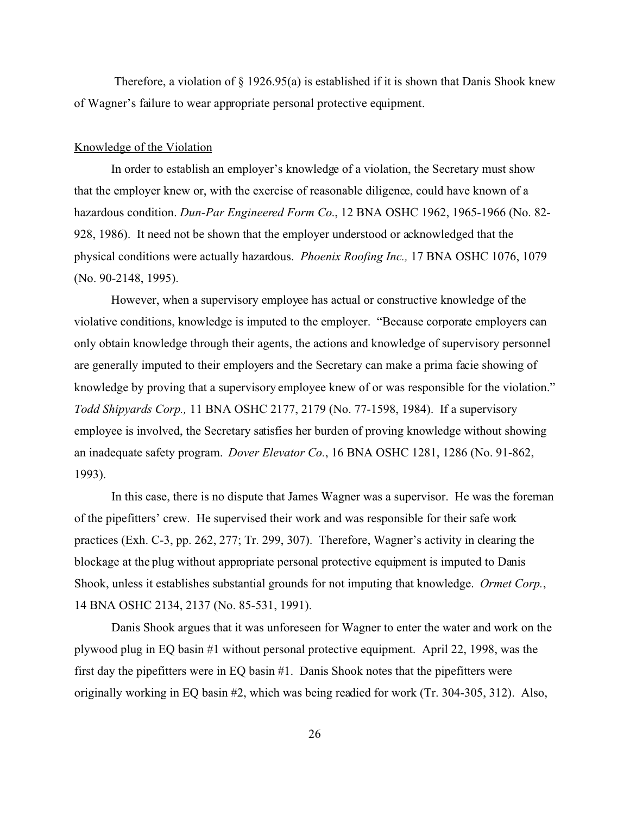Therefore, a violation of  $\S$  1926.95(a) is established if it is shown that Danis Shook knew of Wagner's failure to wear appropriate personal protective equipment.

### Knowledge of the Violation

In order to establish an employer's knowledge of a violation, the Secretary must show that the employer knew or, with the exercise of reasonable diligence, could have known of a hazardous condition. *Dun-Par Engineered Form Co*., 12 BNA OSHC 1962, 1965-1966 (No. 82- 928, 1986). It need not be shown that the employer understood or acknowledged that the physical conditions were actually hazardous. *Phoenix Roofing Inc.,* 17 BNA OSHC 1076, 1079 (No. 90-2148, 1995).

However, when a supervisory employee has actual or constructive knowledge of the violative conditions, knowledge is imputed to the employer. "Because corporate employers can only obtain knowledge through their agents, the actions and knowledge of supervisory personnel are generally imputed to their employers and the Secretary can make a prima facie showing of knowledge by proving that a supervisory employee knew of or was responsible for the violation." *Todd Shipyards Corp.,* 11 BNA OSHC 2177, 2179 (No. 77-1598, 1984). If a supervisory employee is involved, the Secretary satisfies her burden of proving knowledge without showing an inadequate safety program. *Dover Elevator Co.*, 16 BNA OSHC 1281, 1286 (No. 91-862, 1993).

In this case, there is no dispute that James Wagner was a supervisor. He was the foreman of the pipefitters' crew. He supervised their work and was responsible for their safe work practices (Exh. C-3, pp. 262, 277; Tr. 299, 307). Therefore, Wagner's activity in clearing the blockage at the plug without appropriate personal protective equipment is imputed to Danis Shook, unless it establishes substantial grounds for not imputing that knowledge. *Ormet Corp.*, 14 BNA OSHC 2134, 2137 (No. 85-531, 1991).

Danis Shook argues that it was unforeseen for Wagner to enter the water and work on the plywood plug in EQ basin #1 without personal protective equipment. April 22, 1998, was the first day the pipefitters were in EQ basin #1. Danis Shook notes that the pipefitters were originally working in EQ basin #2, which was being readied for work (Tr. 304-305, 312). Also,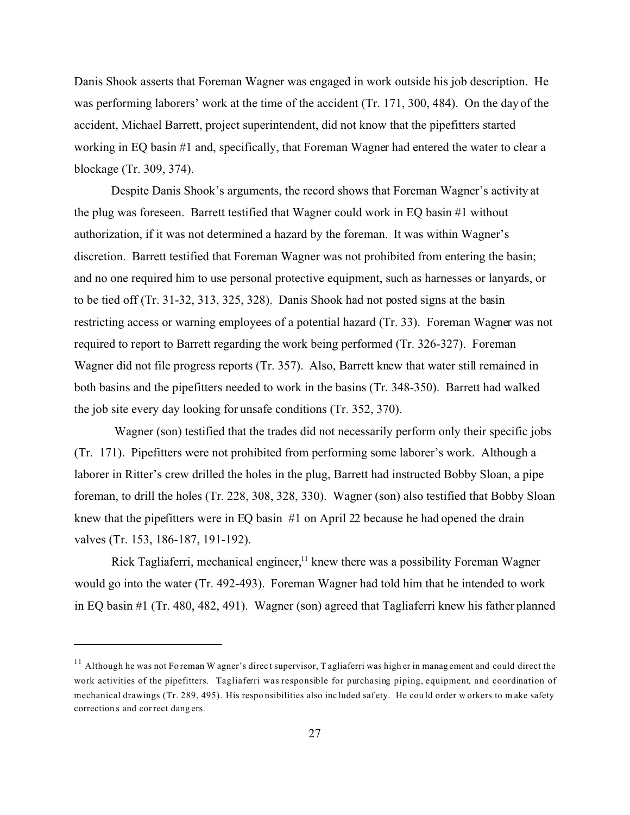Danis Shook asserts that Foreman Wagner was engaged in work outside his job description. He was performing laborers' work at the time of the accident (Tr. 171, 300, 484). On the day of the accident, Michael Barrett, project superintendent, did not know that the pipefitters started working in EQ basin #1 and, specifically, that Foreman Wagner had entered the water to clear a blockage (Tr. 309, 374).

Despite Danis Shook's arguments, the record shows that Foreman Wagner's activity at the plug was foreseen. Barrett testified that Wagner could work in EQ basin #1 without authorization, if it was not determined a hazard by the foreman. It was within Wagner's discretion. Barrett testified that Foreman Wagner was not prohibited from entering the basin; and no one required him to use personal protective equipment, such as harnesses or lanyards, or to be tied off (Tr. 31-32, 313, 325, 328). Danis Shook had not posted signs at the basin restricting access or warning employees of a potential hazard (Tr. 33). Foreman Wagner was not required to report to Barrett regarding the work being performed (Tr. 326-327). Foreman Wagner did not file progress reports (Tr. 357). Also, Barrett knew that water still remained in both basins and the pipefitters needed to work in the basins (Tr. 348-350). Barrett had walked the job site every day looking for unsafe conditions (Tr. 352, 370).

Wagner (son) testified that the trades did not necessarily perform only their specific jobs (Tr. 171). Pipefitters were not prohibited from performing some laborer's work. Although a laborer in Ritter's crew drilled the holes in the plug, Barrett had instructed Bobby Sloan, a pipe foreman, to drill the holes (Tr. 228, 308, 328, 330). Wagner (son) also testified that Bobby Sloan knew that the pipefitters were in EQ basin #1 on April 22 because he had opened the drain valves (Tr. 153, 186-187, 191-192).

Rick Tagliaferri, mechanical engineer, $<sup>11</sup>$  knew there was a possibility Foreman Wagner</sup> would go into the water (Tr. 492-493). Foreman Wagner had told him that he intended to work in EQ basin #1 (Tr. 480, 482, 491). Wagner (son) agreed that Tagliaferri knew his father planned

 $11$  Although he was not Fo reman W agner's direct supervisor, T agliaferri was high er in management and could direct the work activities of the pipefitters. Tagliaferri was responsible for purchasing piping, equipment, and coordination of mechanical drawings (Tr. 289, 495). His responsibilities also included safety. He could order w orkers to make safety correction s and cor rect dang ers.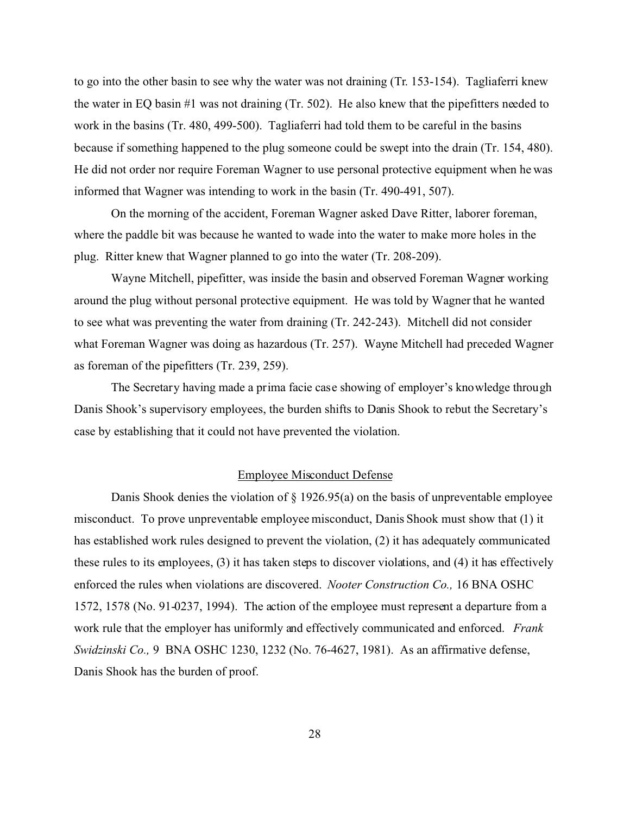to go into the other basin to see why the water was not draining (Tr. 153-154). Tagliaferri knew the water in EQ basin #1 was not draining (Tr. 502). He also knew that the pipefitters needed to work in the basins (Tr. 480, 499-500). Tagliaferri had told them to be careful in the basins because if something happened to the plug someone could be swept into the drain (Tr. 154, 480). He did not order nor require Foreman Wagner to use personal protective equipment when he was informed that Wagner was intending to work in the basin (Tr. 490-491, 507).

On the morning of the accident, Foreman Wagner asked Dave Ritter, laborer foreman, where the paddle bit was because he wanted to wade into the water to make more holes in the plug. Ritter knew that Wagner planned to go into the water (Tr. 208-209).

Wayne Mitchell, pipefitter, was inside the basin and observed Foreman Wagner working around the plug without personal protective equipment. He was told by Wagner that he wanted to see what was preventing the water from draining (Tr. 242-243). Mitchell did not consider what Foreman Wagner was doing as hazardous (Tr. 257). Wayne Mitchell had preceded Wagner as foreman of the pipefitters (Tr. 239, 259).

The Secretary having made a prima facie case showing of employer's knowledge through Danis Shook's supervisory employees, the burden shifts to Danis Shook to rebut the Secretary's case by establishing that it could not have prevented the violation.

## Employee Misconduct Defense

Danis Shook denies the violation of  $\S$  1926.95(a) on the basis of unpreventable employee misconduct. To prove unpreventable employee misconduct, Danis Shook must show that (1) it has established work rules designed to prevent the violation, (2) it has adequately communicated these rules to its employees, (3) it has taken steps to discover violations, and (4) it has effectively enforced the rules when violations are discovered. *Nooter Construction Co.,* 16 BNA OSHC 1572, 1578 (No. 91-0237, 1994). The action of the employee must represent a departure from a work rule that the employer has uniformly and effectively communicated and enforced. *Frank Swidzinski Co.,* 9 BNA OSHC 1230, 1232 (No. 76-4627, 1981). As an affirmative defense, Danis Shook has the burden of proof.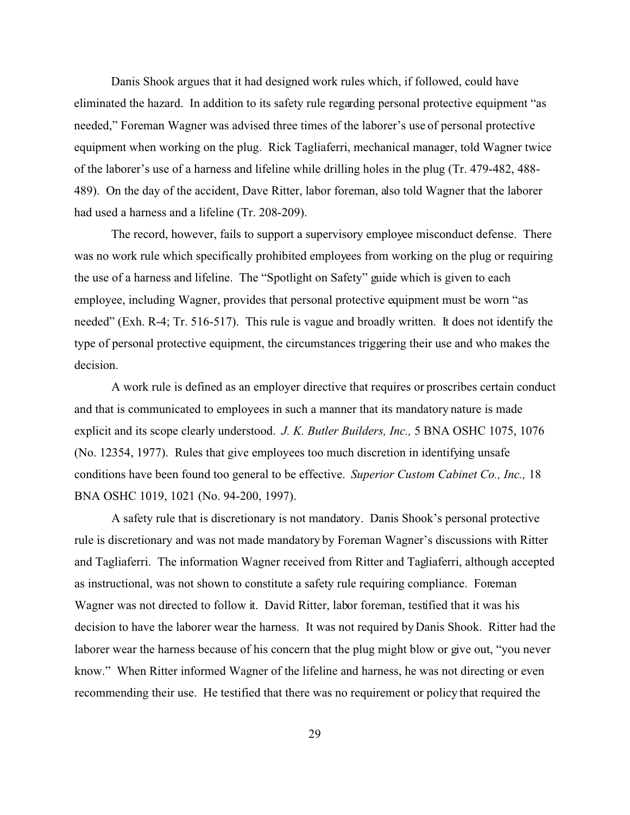Danis Shook argues that it had designed work rules which, if followed, could have eliminated the hazard. In addition to its safety rule regarding personal protective equipment "as needed," Foreman Wagner was advised three times of the laborer's use of personal protective equipment when working on the plug. Rick Tagliaferri, mechanical manager, told Wagner twice of the laborer's use of a harness and lifeline while drilling holes in the plug (Tr. 479-482, 488- 489). On the day of the accident, Dave Ritter, labor foreman, also told Wagner that the laborer had used a harness and a lifeline (Tr. 208-209).

The record, however, fails to support a supervisory employee misconduct defense. There was no work rule which specifically prohibited employees from working on the plug or requiring the use of a harness and lifeline. The "Spotlight on Safety" guide which is given to each employee, including Wagner, provides that personal protective equipment must be worn "as needed" (Exh. R-4; Tr. 516-517). This rule is vague and broadly written. It does not identify the type of personal protective equipment, the circumstances triggering their use and who makes the decision.

A work rule is defined as an employer directive that requires or proscribes certain conduct and that is communicated to employees in such a manner that its mandatory nature is made explicit and its scope clearly understood. *J. K. Butler Builders, Inc.,* 5 BNA OSHC 1075, 1076 (No. 12354, 1977). Rules that give employees too much discretion in identifying unsafe conditions have been found too general to be effective. *Superior Custom Cabinet Co., Inc.,* 18 BNA OSHC 1019, 1021 (No. 94-200, 1997).

A safety rule that is discretionary is not mandatory. Danis Shook's personal protective rule is discretionary and was not made mandatory by Foreman Wagner's discussions with Ritter and Tagliaferri. The information Wagner received from Ritter and Tagliaferri, although accepted as instructional, was not shown to constitute a safety rule requiring compliance. Foreman Wagner was not directed to follow it. David Ritter, labor foreman, testified that it was his decision to have the laborer wear the harness. It was not required by Danis Shook. Ritter had the laborer wear the harness because of his concern that the plug might blow or give out, "you never know." When Ritter informed Wagner of the lifeline and harness, he was not directing or even recommending their use. He testified that there was no requirement or policy that required the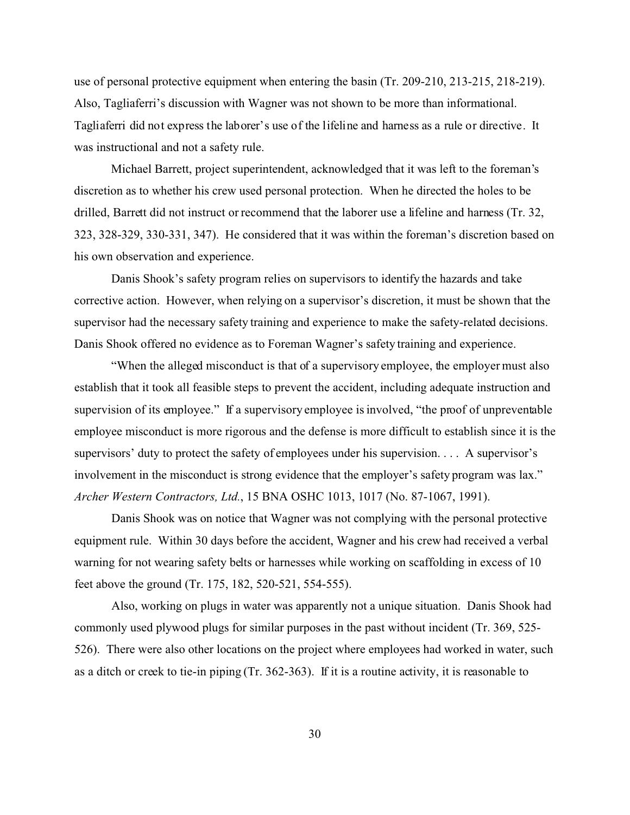use of personal protective equipment when entering the basin (Tr. 209-210, 213-215, 218-219). Also, Tagliaferri's discussion with Wagner was not shown to be more than informational. Tagliaferri did not express the laborer's use of the lifeline and harness as a rule or directive. It was instructional and not a safety rule.

Michael Barrett, project superintendent, acknowledged that it was left to the foreman's discretion as to whether his crew used personal protection. When he directed the holes to be drilled, Barrett did not instruct or recommend that the laborer use a lifeline and harness (Tr. 32, 323, 328-329, 330-331, 347). He considered that it was within the foreman's discretion based on his own observation and experience.

Danis Shook's safety program relies on supervisors to identify the hazards and take corrective action. However, when relying on a supervisor's discretion, it must be shown that the supervisor had the necessary safety training and experience to make the safety-related decisions. Danis Shook offered no evidence as to Foreman Wagner's safety training and experience.

"When the alleged misconduct is that of a supervisory employee, the employer must also establish that it took all feasible steps to prevent the accident, including adequate instruction and supervision of its employee." If a supervisory employee is involved, "the proof of unpreventable employee misconduct is more rigorous and the defense is more difficult to establish since it is the supervisors' duty to protect the safety of employees under his supervision. . . . A supervisor's involvement in the misconduct is strong evidence that the employer's safety program was lax." *Archer Western Contractors, Ltd.*, 15 BNA OSHC 1013, 1017 (No. 87-1067, 1991).

Danis Shook was on notice that Wagner was not complying with the personal protective equipment rule. Within 30 days before the accident, Wagner and his crew had received a verbal warning for not wearing safety belts or harnesses while working on scaffolding in excess of 10 feet above the ground (Tr. 175, 182, 520-521, 554-555).

Also, working on plugs in water was apparently not a unique situation. Danis Shook had commonly used plywood plugs for similar purposes in the past without incident (Tr. 369, 525- 526). There were also other locations on the project where employees had worked in water, such as a ditch or creek to tie-in piping (Tr. 362-363). If it is a routine activity, it is reasonable to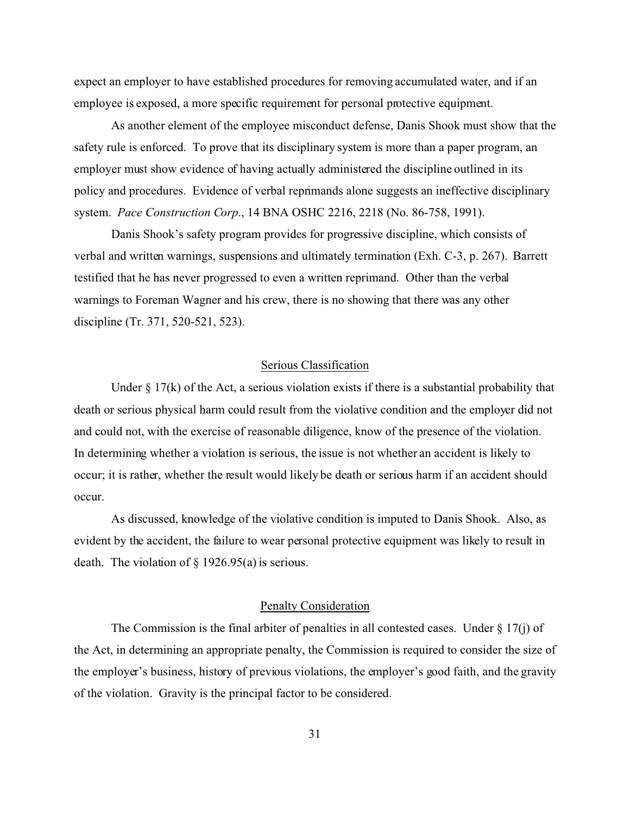expect an employer to have established procedures for removing accumulated water, and if an employee is exposed, a more specific requirement for personal protective equipment.

As another element of the employee misconduct defense, Danis Shook must show that the safety rule is enforced. To prove that its disciplinary system is more than a paper program, an employer must show evidence of having actually administered the discipline outlined in its policy and procedures. Evidence of verbal reprimands alone suggests an ineffective disciplinary system. *Pace Construction Corp*., 14 BNA OSHC 2216, 2218 (No. 86-758, 1991).

Danis Shook's safety program provides for progressive discipline, which consists of verbal and written warnings, suspensions and ultimately termination (Exh. C-3, p. 267). Barrett testified that he has never progressed to even a written reprimand. Other than the verbal warnings to Foreman Wagner and his crew, there is no showing that there was any other discipline (Tr. 371, 520-521, 523).

## Serious Classification

Under  $\S 17(k)$  of the Act, a serious violation exists if there is a substantial probability that death or serious physical harm could result from the violative condition and the employer did not and could not, with the exercise of reasonable diligence, know of the presence of the violation. In determining whether a violation is serious, the issue is not whether an accident is likely to occur; it is rather, whether the result would likely be death or serious harm if an accident should occur.

As discussed, knowledge of the violative condition is imputed to Danis Shook. Also, as evident by the accident, the failure to wear personal protective equipment was likely to result in death. The violation of § 1926.95(a) is serious.

## Penalty Consideration

The Commission is the final arbiter of penalties in all contested cases. Under  $\S 17(i)$  of the Act, in determining an appropriate penalty, the Commission is required to consider the size of the employer's business, history of previous violations, the employer's good faith, and the gravity of the violation. Gravity is the principal factor to be considered.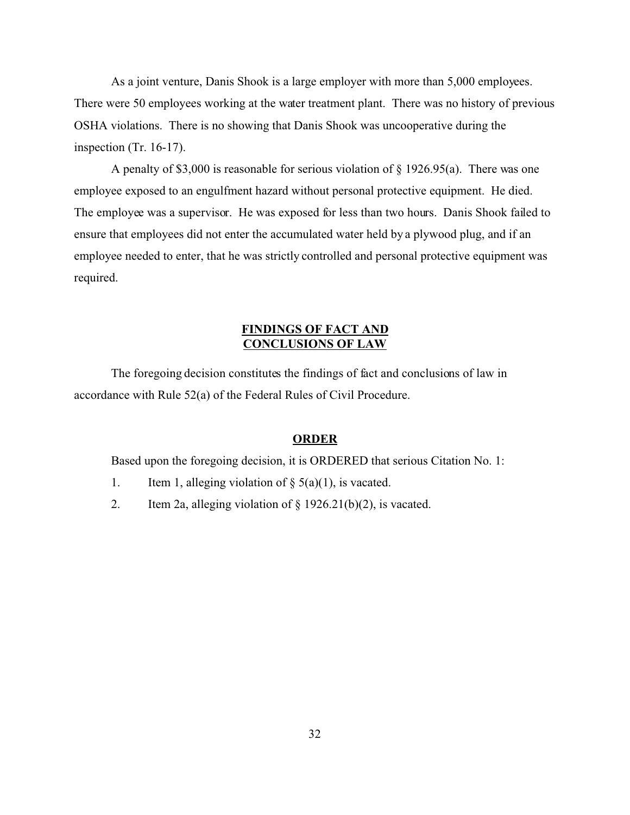As a joint venture, Danis Shook is a large employer with more than 5,000 employees. There were 50 employees working at the water treatment plant. There was no history of previous OSHA violations. There is no showing that Danis Shook was uncooperative during the inspection (Tr. 16-17).

A penalty of \$3,000 is reasonable for serious violation of § 1926.95(a). There was one employee exposed to an engulfment hazard without personal protective equipment. He died. The employee was a supervisor. He was exposed for less than two hours. Danis Shook failed to ensure that employees did not enter the accumulated water held by a plywood plug, and if an employee needed to enter, that he was strictly controlled and personal protective equipment was required.

# **FINDINGS OF FACT AND CONCLUSIONS OF LAW**

The foregoing decision constitutes the findings of fact and conclusions of law in accordance with Rule 52(a) of the Federal Rules of Civil Procedure.

## **ORDER**

Based upon the foregoing decision, it is ORDERED that serious Citation No. 1:

- 1. Item 1, alleging violation of  $\S$  5(a)(1), is vacated.
- 2. Item 2a, alleging violation of  $\S$  1926.21(b)(2), is vacated.